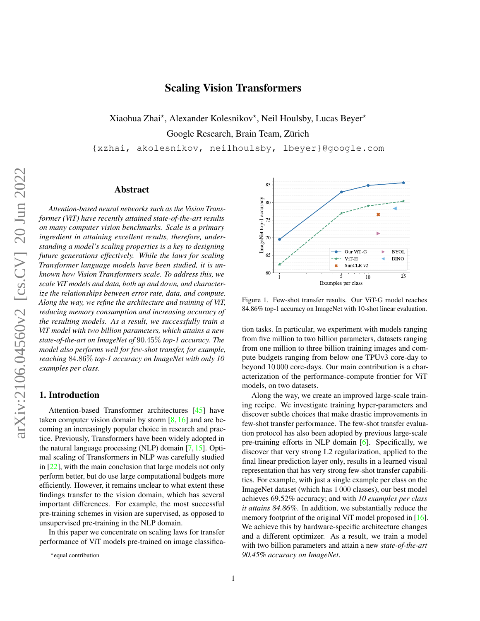# Scaling Vision Transformers

<span id="page-0-1"></span>Xiaohua Zhai\*, Alexander Kolesnikov\*, Neil Houlsby, Lucas Beyer\*

Google Research, Brain Team, Zürich

{xzhai, akolesnikov, neilhoulsby, lbeyer}@google.com

## Abstract

*Attention-based neural networks such as the Vision Transformer (ViT) have recently attained state-of-the-art results on many computer vision benchmarks. Scale is a primary ingredient in attaining excellent results, therefore, understanding a model's scaling properties is a key to designing future generations effectively. While the laws for scaling Transformer language models have been studied, it is unknown how Vision Transformers scale. To address this, we scale ViT models and data, both up and down, and characterize the relationships between error rate, data, and compute. Along the way, we refine the architecture and training of ViT, reducing memory consumption and increasing accuracy of the resulting models. As a result, we successfully train a ViT model with two billion parameters, which attains a new state-of-the-art on ImageNet of* 90.45% *top-1 accuracy. The model also performs well for few-shot transfer, for example, reaching* 84.86% *top-1 accuracy on ImageNet with only 10 examples per class.*

## 1. Introduction

Attention-based Transformer architectures [\[45\]](#page-9-0) have taken computer vision domain by storm  $\lceil 8, 16 \rceil$  and are becoming an increasingly popular choice in research and practice. Previously, Transformers have been widely adopted in the natural language processing (NLP) domain [\[7,](#page-8-2) [15\]](#page-8-3). Optimal scaling of Transformers in NLP was carefully studied in [\[22\]](#page-8-4), with the main conclusion that large models not only perform better, but do use large computational budgets more efficiently. However, it remains unclear to what extent these findings transfer to the vision domain, which has several important differences. For example, the most successful pre-training schemes in vision are supervised, as opposed to unsupervised pre-training in the NLP domain.

In this paper we concentrate on scaling laws for transfer performance of ViT models pre-trained on image classifica-

<span id="page-0-0"></span>

Figure 1. Few-shot transfer results. Our ViT-G model reaches 84.86% top-1 accuracy on ImageNet with 10-shot linear evaluation.

tion tasks. In particular, we experiment with models ranging from five million to two billion parameters, datasets ranging from one million to three billion training images and compute budgets ranging from below one TPUv3 core-day to beyond 10 000 core-days. Our main contribution is a characterization of the performance-compute frontier for ViT models, on two datasets.

Along the way, we create an improved large-scale training recipe. We investigate training hyper-parameters and discover subtle choices that make drastic improvements in few-shot transfer performance. The few-shot transfer evaluation protocol has also been adopted by previous large-scale pre-training efforts in NLP domain [\[6\]](#page-8-5). Specifically, we discover that very strong L2 regularization, applied to the final linear prediction layer only, results in a learned visual representation that has very strong few-shot transfer capabilities. For example, with just a single example per class on the ImageNet dataset (which has 1 000 classes), our best model achieves 69.52% accuracy; and with *10 examples per class it attains 84.86%*. In addition, we substantially reduce the memory footprint of the original ViT model proposed in [\[16\]](#page-8-1). We achieve this by hardware-specific architecture changes and a different optimizer. As a result, we train a model with two billion parameters and attain a new *state-of-the-art 90.45% accuracy on ImageNet*.

<sup>\*</sup>equal contribution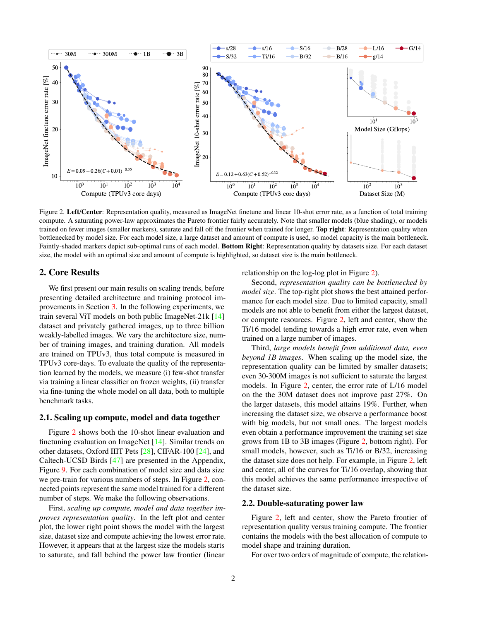<span id="page-1-1"></span><span id="page-1-0"></span>

Figure 2. Left/Center: Representation quality, measured as ImageNet finetune and linear 10-shot error rate, as a function of total training compute. A saturating power-law approximates the Pareto frontier fairly accurately. Note that smaller models (blue shading), or models trained on fewer images (smaller markers), saturate and fall off the frontier when trained for longer. Top right: Representation quality when bottlenecked by model size. For each model size, a large dataset and amount of compute is used, so model capacity is the main bottleneck. Faintly-shaded markers depict sub-optimal runs of each model. Bottom Right: Representation quality by datasets size. For each dataset size, the model with an optimal size and amount of compute is highlighted, so dataset size is the main bottleneck.

## 2. Core Results

We first present our main results on scaling trends, before presenting detailed architecture and training protocol improvements in Section [3.](#page-3-0) In the following experiments, we train several ViT models on both public ImageNet-21k [\[14\]](#page-8-6) dataset and privately gathered images, up to three billion weakly-labelled images. We vary the architecture size, number of training images, and training duration. All models are trained on TPUv3, thus total compute is measured in TPUv3 core-days. To evaluate the quality of the representation learned by the models, we measure (i) few-shot transfer via training a linear classifier on frozen weights, (ii) transfer via fine-tuning the whole model on all data, both to multiple benchmark tasks.

#### 2.1. Scaling up compute, model and data together

Figure [2](#page-1-0) shows both the 10-shot linear evaluation and finetuning evaluation on ImageNet [\[14\]](#page-8-6). Similar trends on other datasets, Oxford IIIT Pets [\[28\]](#page-9-1), CIFAR-100 [\[24\]](#page-8-7), and Caltech-UCSD Birds [\[47\]](#page-9-2) are presented in the Appendix, Figure [9.](#page-11-0) For each combination of model size and data size we pre-train for various numbers of steps. In Figure [2,](#page-1-0) connected points represent the same model trained for a different number of steps. We make the following observations.

First, *scaling up compute, model and data together improves representation quality*. In the left plot and center plot, the lower right point shows the model with the largest size, dataset size and compute achieving the lowest error rate. However, it appears that at the largest size the models starts to saturate, and fall behind the power law frontier (linear

relationship on the log-log plot in Figure [2\)](#page-1-0).

Second, *representation quality can be bottlenecked by model size*. The top-right plot shows the best attained performance for each model size. Due to limited capacity, small models are not able to benefit from either the largest dataset, or compute resources. Figure [2,](#page-1-0) left and center, show the Ti/16 model tending towards a high error rate, even when trained on a large number of images.

Third, *large models benefit from additional data, even beyond 1B images*. When scaling up the model size, the representation quality can be limited by smaller datasets; even 30-300M images is not sufficient to saturate the largest models. In Figure [2,](#page-1-0) center, the error rate of L/16 model on the the 30M dataset does not improve past 27%. On the larger datasets, this model attains 19%. Further, when increasing the dataset size, we observe a performance boost with big models, but not small ones. The largest models even obtain a performance improvement the training set size grows from 1B to 3B images (Figure [2,](#page-1-0) bottom right). For small models, however, such as Ti/16 or B/32, increasing the dataset size does not help. For example, in Figure [2,](#page-1-0) left and center, all of the curves for Ti/16 overlap, showing that this model achieves the same performance irrespective of the dataset size.

#### 2.2. Double-saturating power law

Figure [2,](#page-1-0) left and center, show the Pareto frontier of representation quality versus training compute. The frontier contains the models with the best allocation of compute to model shape and training duration.

For over two orders of magnitude of compute, the relation-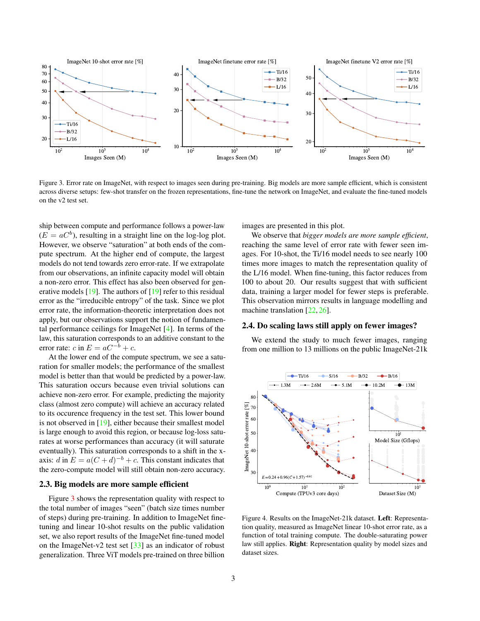<span id="page-2-2"></span><span id="page-2-0"></span>

Figure 3. Error rate on ImageNet, with respect to images seen during pre-training. Big models are more sample efficient, which is consistent across diverse setups: few-shot transfer on the frozen representations, fine-tune the network on ImageNet, and evaluate the fine-tuned models on the v2 test set.

ship between compute and performance follows a power-law  $(E = aC<sup>b</sup>)$ , resulting in a straight line on the log-log plot. However, we observe "saturation" at both ends of the compute spectrum. At the higher end of compute, the largest models do not tend towards zero error-rate. If we extrapolate from our observations, an infinite capacity model will obtain a non-zero error. This effect has also been observed for generative models [\[19\]](#page-8-8). The authors of [\[19\]](#page-8-8) refer to this residual error as the "irreducible entropy" of the task. Since we plot error rate, the information-theoretic interpretation does not apply, but our observations support the notion of fundamental performance ceilings for ImageNet [\[4\]](#page-8-9). In terms of the law, this saturation corresponds to an additive constant to the error rate: c in  $E = aC^{-b} + c$ .

At the lower end of the compute spectrum, we see a saturation for smaller models; the performance of the smallest model is better than that would be predicted by a power-law. This saturation occurs because even trivial solutions can achieve non-zero error. For example, predicting the majority class (almost zero compute) will achieve an accuracy related to its occurence frequency in the test set. This lower bound is not observed in [\[19\]](#page-8-8), either because their smallest model is large enough to avoid this region, or because log-loss saturates at worse performances than accuracy (it will saturate eventually). This saturation corresponds to a shift in the xaxis: d in  $E = a(C+d)^{-b} + c$ . This constant indicates that the zero-compute model will still obtain non-zero accuracy.

#### 2.3. Big models are more sample efficient

Figure [3](#page-2-0) shows the representation quality with respect to the total number of images "seen" (batch size times number of steps) during pre-training. In addition to ImageNet finetuning and linear 10-shot results on the public validation set, we also report results of the ImageNet fine-tuned model on the ImageNet-v2 test set [\[33\]](#page-9-3) as an indicator of robust generalization. Three ViT models pre-trained on three billion

images are presented in this plot.

We observe that *bigger models are more sample efficient*, reaching the same level of error rate with fewer seen images. For 10-shot, the Ti/16 model needs to see nearly 100 times more images to match the representation quality of the L/16 model. When fine-tuning, this factor reduces from 100 to about 20. Our results suggest that with sufficient data, training a larger model for fewer steps is preferable. This observation mirrors results in language modelling and machine translation [\[22,](#page-8-4) [26\]](#page-8-10).

#### 2.4. Do scaling laws still apply on fewer images?

We extend the study to much fewer images, ranging from one million to 13 millions on the public ImageNet-21k

<span id="page-2-1"></span>

Figure 4. Results on the ImageNet-21k dataset. Left: Representation quality, measured as ImageNet linear 10-shot error rate, as a function of total training compute. The double-saturating power law still applies. Right: Representation quality by model sizes and dataset sizes.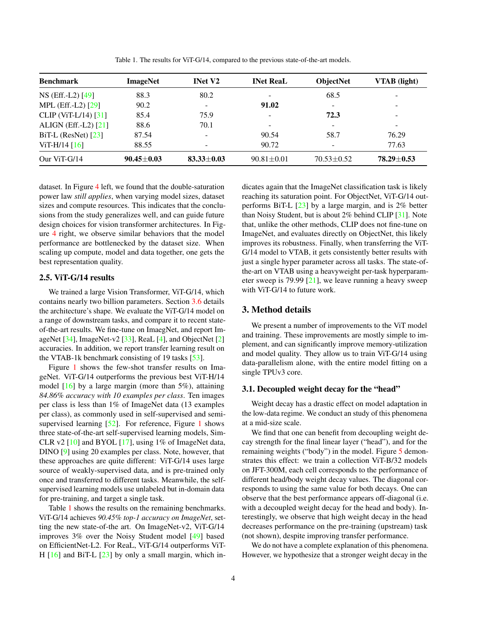<span id="page-3-2"></span><span id="page-3-1"></span>

| <b>Benchmark</b>        | <b>ImageNet</b>  | <b>INet V2</b>           | <b>INet ReaL</b>         | <b>ObjectNet</b>         | <b>VTAB</b> (light) |
|-------------------------|------------------|--------------------------|--------------------------|--------------------------|---------------------|
| NS (Eff.-L2) [49]       | 88.3             | 80.2                     | $\overline{\phantom{a}}$ | 68.5                     |                     |
| MPL (Eff.-L2) [29]      | 90.2             | $\overline{\phantom{0}}$ | 91.02                    | $\overline{\phantom{0}}$ |                     |
| CLIP (ViT-L/14) $[31]$  | 85.4             | 75.9                     | $\overline{\phantom{a}}$ | 72.3                     |                     |
| ALIGN (Eff.-L2) $[21]$  | 88.6             | 70.1                     | -                        | -                        |                     |
| $BiT-L$ (ResNet) $[23]$ | 87.54            |                          | 90.54                    | 58.7                     | 76.29               |
| $ViT-H/14 [16]$         | 88.55            | $\overline{\phantom{0}}$ | 90.72                    | $\overline{\phantom{0}}$ | 77.63               |
| Our ViT- $G/14$         | $90.45 \pm 0.03$ | $83.33 \pm 0.03$         | $90.81 \pm 0.01$         | $70.53 \pm 0.52$         | $78.29 \pm 0.53$    |

Table 1. The results for ViT-G/14, compared to the previous state-of-the-art models.

dataset. In Figure [4](#page-2-1) left, we found that the double-saturation power law *still applies*, when varying model sizes, dataset sizes and compute resources. This indicates that the conclusions from the study generalizes well, and can guide future design choices for vision transformer architectures. In Figure [4](#page-2-1) right, we observe similar behaviors that the model performance are bottlenecked by the dataset size. When scaling up compute, model and data together, one gets the best representation quality.

## 2.5. ViT-G/14 results

We trained a large Vision Transformer, ViT-G/14, which contains nearly two billion parameters. Section [3.6](#page-6-0) details the architecture's shape. We evaluate the ViT-G/14 model on a range of downstream tasks, and compare it to recent stateof-the-art results. We fine-tune on ImaegNet, and report ImageNet [\[34\]](#page-9-7), ImageNet-v2 [\[33\]](#page-9-3), ReaL [\[4\]](#page-8-9), and ObjectNet [\[2\]](#page-8-13) accuracies. In addition, we report transfer learning result on the VTAB-1k benchmark consisting of 19 tasks [\[53\]](#page-9-8).

Figure [1](#page-0-0) shows the few-shot transfer results on ImageNet. ViT-G/14 outperforms the previous best ViT-H/14 model  $[16]$  by a large margin (more than 5%), attaining *84.86% accuracy with 10 examples per class*. Ten images per class is less than 1% of ImageNet data (13 examples per class), as commonly used in self-supervised and semisupervised learning  $[52]$ . For reference, Figure [1](#page-0-0) shows three state-of-the-art self-supervised learning models, Sim-CLR v2  $[10]$  and BYOL  $[17]$ , using 1% of ImageNet data, DINO [\[9\]](#page-8-16) using 20 examples per class. Note, however, that these approaches are quite different: ViT-G/14 uses large source of weakly-supervised data, and is pre-trained only once and transferred to different tasks. Meanwhile, the selfsupervised learning models use unlabeled but in-domain data for pre-training, and target a single task.

Table [1](#page-3-1) shows the results on the remaining benchmarks. ViT-G/14 achieves *90.45% top-1 accuracy on ImageNet*, setting the new state-of-the art. On ImageNet-v2, ViT-G/14 improves 3% over the Noisy Student model [\[49\]](#page-9-4) based on EfficientNet-L2. For ReaL, ViT-G/14 outperforms ViT-H  $[16]$  and BiT-L  $[23]$  by only a small margin, which indicates again that the ImageNet classification task is likely reaching its saturation point. For ObjectNet, ViT-G/14 outperforms BiT-L [\[23\]](#page-8-12) by a large margin, and is 2% better than Noisy Student, but is about 2% behind CLIP [\[31\]](#page-9-6). Note that, unlike the other methods, CLIP does not fine-tune on ImageNet, and evaluates directly on ObjectNet, this likely improves its robustness. Finally, when transferring the ViT-G/14 model to VTAB, it gets consistently better results with just a single hyper parameter across all tasks. The state-ofthe-art on VTAB using a heavyweight per-task hyperparameter sweep is 79.99  $[21]$ , we leave running a heavy sweep with ViT-G/14 to future work.

## <span id="page-3-0"></span>3. Method details

We present a number of improvements to the ViT model and training. These improvements are mostly simple to implement, and can significantly improve memory-utilization and model quality. They allow us to train ViT-G/14 using data-parallelism alone, with the entire model fitting on a single TPUv3 core.

### 3.1. Decoupled weight decay for the "head"

Weight decay has a drastic effect on model adaptation in the low-data regime. We conduct an study of this phenomena at a mid-size scale.

We find that one can benefit from decoupling weight decay strength for the final linear layer ("head"), and for the remaining weights ("body") in the model. Figure [5](#page-4-0) demonstrates this effect: we train a collection ViT-B/32 models on JFT-300M, each cell corresponds to the performance of different head/body weight decay values. The diagonal corresponds to using the same value for both decays. One can observe that the best performance appears off-diagonal (i.e. with a decoupled weight decay for the head and body). Interestingly, we observe that high weight decay in the head decreases performance on the pre-training (upstream) task (not shown), despite improving transfer performance.

We do not have a complete explanation of this phenomena. However, we hypothesize that a stronger weight decay in the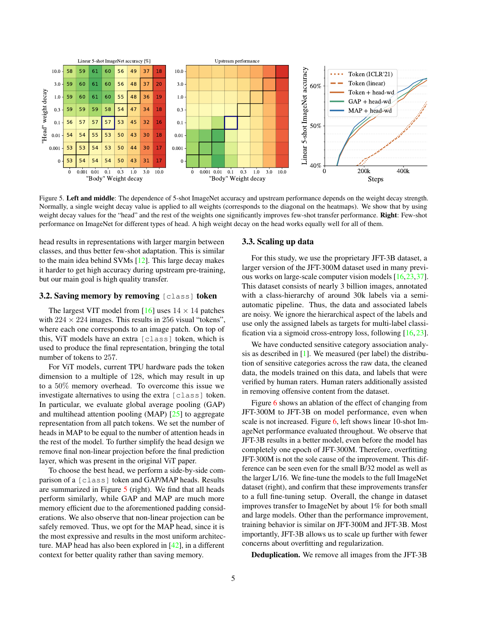<span id="page-4-2"></span><span id="page-4-0"></span>

Figure 5. Left and middle: The dependence of 5-shot ImageNet accuracy and upstream performance depends on the weight decay strength. Normally, a single weight decay value is applied to all weights (corresponds to the diagonal on the heatmaps). We show that by using weight decay values for the "head" and the rest of the weights one significantly improves few-shot transfer performance. Right: Few-shot performance on ImageNet for different types of head. A high weight decay on the head works equally well for all of them.

head results in representations with larger margin between classes, and thus better few-shot adaptation. This is similar to the main idea behind SVMs [\[12\]](#page-8-17). This large decay makes it harder to get high accuracy during upstream pre-training, but our main goal is high quality transfer.

#### <span id="page-4-1"></span>3.2. Saving memory by removing [class] token

The largest VIT model from [\[16\]](#page-8-1) uses  $14 \times 14$  patches with  $224 \times 224$  images. This results in 256 visual "tokens", where each one corresponds to an image patch. On top of this, ViT models have an extra [class] token, which is used to produce the final representation, bringing the total number of tokens to 257.

For ViT models, current TPU hardware pads the token dimension to a multiple of 128, which may result in up to a 50% memory overhead. To overcome this issue we investigate alternatives to using the extra [class] token. In particular, we evaluate global average pooling (GAP) and multihead attention pooling (MAP) [\[25\]](#page-8-18) to aggregate representation from all patch tokens. We set the number of heads in MAP to be equal to the number of attention heads in the rest of the model. To further simplify the head design we remove final non-linear projection before the final prediction layer, which was present in the original ViT paper.

To choose the best head, we perform a side-by-side comparison of a [class] token and GAP/MAP heads. Results are summarized in Figure [5](#page-4-0) (right). We find that all heads perform similarly, while GAP and MAP are much more memory efficient due to the aforementioned padding considerations. We also observe that non-linear projection can be safely removed. Thus, we opt for the MAP head, since it is the most expressive and results in the most uniform architecture. MAP head has also been explored in [\[42\]](#page-9-10), in a different context for better quality rather than saving memory.

#### 3.3. Scaling up data

For this study, we use the proprietary JFT-3B dataset, a larger version of the JFT-300M dataset used in many previous works on large-scale computer vision models [\[16,](#page-8-1)[23,](#page-8-12)[37\]](#page-9-11). This dataset consists of nearly 3 billion images, annotated with a class-hierarchy of around 30k labels via a semiautomatic pipeline. Thus, the data and associated labels are noisy. We ignore the hierarchical aspect of the labels and use only the assigned labels as targets for multi-label classification via a sigmoid cross-entropy loss, following [\[16,](#page-8-1) [23\]](#page-8-12).

We have conducted sensitive category association analysis as described in [\[1\]](#page-8-19). We measured (per label) the distribution of sensitive categories across the raw data, the cleaned data, the models trained on this data, and labels that were verified by human raters. Human raters additionally assisted in removing offensive content from the dataset.

Figure [6](#page-5-0) shows an ablation of the effect of changing from JFT-300M to JFT-3B on model performance, even when scale is not increased. Figure [6,](#page-5-0) left shows linear 10-shot ImageNet performance evaluated throughout. We observe that JFT-3B results in a better model, even before the model has completely one epoch of JFT-300M. Therefore, overfitting JFT-300M is not the sole cause of the improvement. This difference can be seen even for the small B/32 model as well as the larger L/16. We fine-tune the models to the full ImageNet dataset (right), and confirm that these improvements transfer to a full fine-tuning setup. Overall, the change in dataset improves transfer to ImageNet by about 1% for both small and large models. Other than the performance improvement, training behavior is similar on JFT-300M and JFT-3B. Most importantly, JFT-3B allows us to scale up further with fewer concerns about overfitting and regularization.

Deduplication. We remove all images from the JFT-3B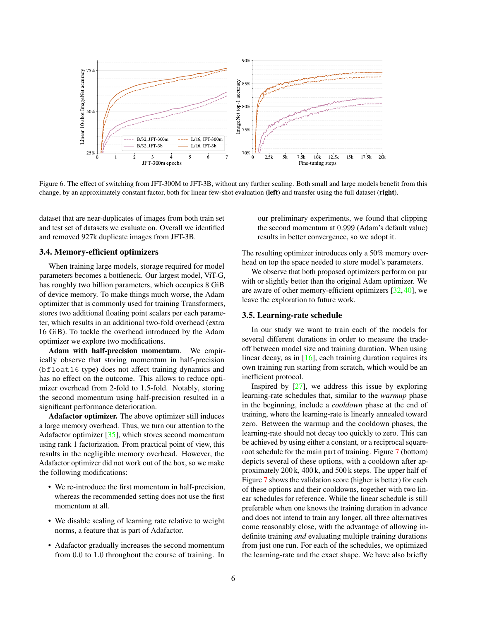<span id="page-5-2"></span><span id="page-5-0"></span>

Figure 6. The effect of switching from JFT-300M to JFT-3B, without any further scaling. Both small and large models benefit from this change, by an approximately constant factor, both for linear few-shot evaluation (left) and transfer using the full dataset (right).

dataset that are near-duplicates of images from both train set and test set of datasets we evaluate on. Overall we identified and removed 927k duplicate images from JFT-3B.

### <span id="page-5-1"></span>3.4. Memory-efficient optimizers

When training large models, storage required for model parameters becomes a bottleneck. Our largest model, ViT-G, has roughly two billion parameters, which occupies 8 GiB of device memory. To make things much worse, the Adam optimizer that is commonly used for training Transformers, stores two additional floating point scalars per each parameter, which results in an additional two-fold overhead (extra 16 GiB). To tackle the overhead introduced by the Adam optimizer we explore two modifications.

Adam with half-precision momentum. We empirically observe that storing momentum in half-precision (bfloat16 type) does not affect training dynamics and has no effect on the outcome. This allows to reduce optimizer overhead from 2-fold to 1.5-fold. Notably, storing the second momentum using half-precision resulted in a significant performance deterioration.

Adafactor optimizer. The above optimizer still induces a large memory overhead. Thus, we turn our attention to the Adafactor optimizer [\[35\]](#page-9-12), which stores second momentum using rank 1 factorization. From practical point of view, this results in the negligible memory overhead. However, the Adafactor optimizer did not work out of the box, so we make the following modifications:

- We re-introduce the first momentum in half-precision, whereas the recommended setting does not use the first momentum at all.
- We disable scaling of learning rate relative to weight norms, a feature that is part of Adafactor.
- Adafactor gradually increases the second momentum from 0.0 to 1.0 throughout the course of training. In

our preliminary experiments, we found that clipping the second momentum at 0.999 (Adam's default value) results in better convergence, so we adopt it.

The resulting optimizer introduces only a 50% memory overhead on top the space needed to store model's parameters.

We observe that both proposed optimizers perform on par with or slightly better than the original Adam optimizer. We are aware of other memory-efficient optimizers [\[32,](#page-9-13) [40\]](#page-9-14), we leave the exploration to future work.

#### 3.5. Learning-rate schedule

In our study we want to train each of the models for several different durations in order to measure the tradeoff between model size and training duration. When using linear decay, as in [\[16\]](#page-8-1), each training duration requires its own training run starting from scratch, which would be an inefficient protocol.

Inspired by  $[27]$ , we address this issue by exploring learning-rate schedules that, similar to the *warmup* phase in the beginning, include a *cooldown* phase at the end of training, where the learning-rate is linearly annealed toward zero. Between the warmup and the cooldown phases, the learning-rate should not decay too quickly to zero. This can be achieved by using either a constant, or a reciprocal squareroot schedule for the main part of training. Figure [7](#page-6-1) (bottom) depicts several of these options, with a cooldown after approximately 200 k, 400 k, and 500 k steps. The upper half of Figure [7](#page-6-1) shows the validation score (higher is better) for each of these options and their cooldowns, together with two linear schedules for reference. While the linear schedule is still preferable when one knows the training duration in advance and does not intend to train any longer, all three alternatives come reasonably close, with the advantage of allowing indefinite training *and* evaluating multiple training durations from just one run. For each of the schedules, we optimized the learning-rate and the exact shape. We have also briefly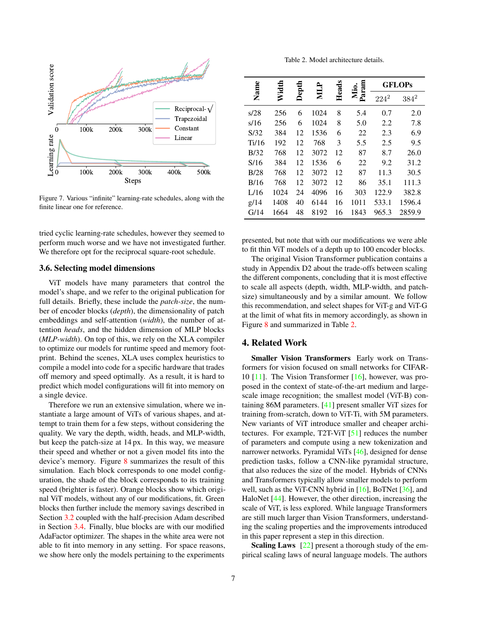<span id="page-6-3"></span><span id="page-6-1"></span>

Figure 7. Various "infinite" learning-rate schedules, along with the finite linear one for reference.

tried cyclic learning-rate schedules, however they seemed to perform much worse and we have not investigated further. We therefore opt for the reciprocal square-root schedule.

#### <span id="page-6-0"></span>3.6. Selecting model dimensions

ViT models have many parameters that control the model's shape, and we refer to the original publication for full details. Briefly, these include the *patch-size*, the number of encoder blocks (*depth*), the dimensionality of patch embeddings and self-attention (*width*), the number of attention *heads*, and the hidden dimension of MLP blocks (*MLP-width*). On top of this, we rely on the XLA compiler to optimize our models for runtime speed and memory footprint. Behind the scenes, XLA uses complex heuristics to compile a model into code for a specific hardware that trades off memory and speed optimally. As a result, it is hard to predict which model configurations will fit into memory on a single device.

Therefore we run an extensive simulation, where we instantiate a large amount of ViTs of various shapes, and attempt to train them for a few steps, without considering the quality. We vary the depth, width, heads, and MLP-width, but keep the patch-size at 14 px. In this way, we measure their speed and whether or not a given model fits into the device's memory. Figure [8](#page-7-0) summarizes the result of this simulation. Each block corresponds to one model configuration, the shade of the block corresponds to its training speed (brighter is faster). Orange blocks show which original ViT models, without any of our modifications, fit. Green blocks then further include the memory savings described in Section [3.2](#page-4-1) coupled with the half-precision Adam described in Section [3.4.](#page-5-1) Finally, blue blocks are with our modified AdaFactor optimizer. The shapes in the white area were not able to fit into memory in any setting. For space reasons, we show here only the models pertaining to the experiments

Table 2. Model architecture details.

<span id="page-6-2"></span>

| Name  | Width | Depth | NILP | Heads | Param |         | <b>GFLOPs</b> |
|-------|-------|-------|------|-------|-------|---------|---------------|
|       |       |       |      |       | Mio.  | $224^2$ | $384^2$       |
| s/28  | 256   | 6     | 1024 | 8     | 5.4   | 0.7     | 2.0           |
| s/16  | 256   | 6     | 1024 | 8     | 5.0   | 2.2     | 7.8           |
| S/32  | 384   | 12    | 1536 | 6     | 22    | 2.3     | 6.9           |
| Ti/16 | 192   | 12    | 768  | 3     | 5.5   | 2.5     | 9.5           |
| B/32  | 768   | 12    | 3072 | 12    | 87    | 8.7     | 26.0          |
| S/16  | 384   | 12    | 1536 | 6     | 22    | 9.2     | 31.2          |
| B/28  | 768   | 12    | 3072 | 12    | 87    | 11.3    | 30.5          |
| B/16  | 768   | 12    | 3072 | 12    | 86    | 35.1    | 111.3         |
| L/16  | 1024  | 24    | 4096 | 16    | 303   | 122.9   | 382.8         |
| g/14  | 1408  | 40    | 6144 | 16    | 1011  | 533.1   | 1596.4        |
| G/14  | 1664  | 48    | 8192 | 16    | 1843  | 965.3   | 2859.9        |

presented, but note that with our modifications we were able to fit thin ViT models of a depth up to 100 encoder blocks.

The original Vision Transformer publication contains a study in Appendix D2 about the trade-offs between scaling the different components, concluding that it is most effective to scale all aspects (depth, width, MLP-width, and patchsize) simultaneously and by a similar amount. We follow this recommendation, and select shapes for ViT-g and ViT-G at the limit of what fits in memory accordingly, as shown in Figure [8](#page-7-0) and summarized in Table [2.](#page-6-2)

### 4. Related Work

Smaller Vision Transformers Early work on Transformers for vision focused on small networks for CIFAR-10 [\[11\]](#page-8-21). The Vision Transformer [\[16\]](#page-8-1), however, was proposed in the context of state-of-the-art medium and largescale image recognition; the smallest model (ViT-B) containing 86M parameters. [\[41\]](#page-9-15) present smaller ViT sizes for training from-scratch, down to ViT-Ti, with 5M parameters. New variants of ViT introduce smaller and cheaper architectures. For example, T2T-ViT [\[51\]](#page-9-16) reduces the number of parameters and compute using a new tokenization and narrower networks. Pyramidal ViTs [\[46\]](#page-9-17), designed for dense prediction tasks, follow a CNN-like pyramidal structure, that also reduces the size of the model. Hybrids of CNNs and Transformers typically allow smaller models to perform well, such as the ViT-CNN hybrid in [\[16\]](#page-8-1), BoTNet [\[36\]](#page-9-18), and HaloNet [\[44\]](#page-9-19). However, the other direction, increasing the scale of ViT, is less explored. While language Transformers are still much larger than Vision Transformers, understanding the scaling properties and the improvements introduced in this paper represent a step in this direction.

Scaling Laws [\[22\]](#page-8-4) present a thorough study of the empirical scaling laws of neural language models. The authors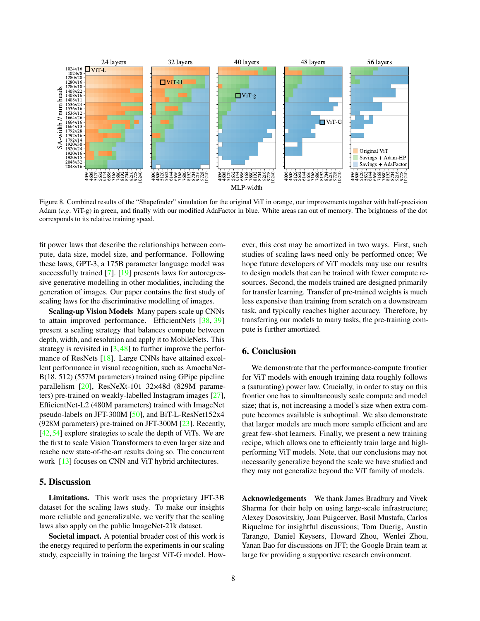<span id="page-7-1"></span><span id="page-7-0"></span>

Figure 8. Combined results of the "Shapefinder" simulation for the original ViT in orange, our improvements together with half-precision Adam (*e.g*. ViT-g) in green, and finally with our modified AdaFactor in blue. White areas ran out of memory. The brightness of the dot corresponds to its relative training speed.

fit power laws that describe the relationships between compute, data size, model size, and performance. Following these laws, GPT-3, a 175B parameter language model was successfully trained [\[7\]](#page-8-2). [\[19\]](#page-8-8) presents laws for autoregressive generative modelling in other modalities, including the generation of images. Our paper contains the first study of scaling laws for the discriminative modelling of images.

Scaling-up Vision Models Many papers scale up CNNs to attain improved performance. EfficientNets [\[38,](#page-9-20) [39\]](#page-9-21) present a scaling strategy that balances compute between depth, width, and resolution and apply it to MobileNets. This strategy is revisited in  $[3, 48]$  $[3, 48]$  $[3, 48]$  to further improve the performance of ResNets [\[18\]](#page-8-23). Large CNNs have attained excellent performance in visual recognition, such as AmoebaNet-B(18, 512) (557M parameters) trained using GPipe pipeline parallelism [\[20\]](#page-8-24), ResNeXt-101 32×48d (829M parameters) pre-trained on weakly-labelled Instagram images [\[27\]](#page-8-20), EfficientNet-L2 (480M parameters) trained with ImageNet pseudo-labels on JFT-300M [\[50\]](#page-9-23), and BiT-L-ResNet152x4 (928M parameters) pre-trained on JFT-300M [\[23\]](#page-8-12). Recently, [\[42,](#page-9-10) [54\]](#page-9-24) explore strategies to scale the depth of ViTs. We are the first to scale Vision Transformers to even larger size and reache new state-of-the-art results doing so. The concurrent work [\[13\]](#page-8-25) focuses on CNN and ViT hybrid architectures.

## 5. Discussion

Limitations. This work uses the proprietary JFT-3B dataset for the scaling laws study. To make our insights more reliable and generalizable, we verify that the scaling laws also apply on the public ImageNet-21k dataset.

Societal impact. A potential broader cost of this work is the energy required to perform the experiments in our scaling study, especially in training the largest ViT-G model. However, this cost may be amortized in two ways. First, such studies of scaling laws need only be performed once; We hope future developers of ViT models may use our results to design models that can be trained with fewer compute resources. Second, the models trained are designed primarily for transfer learning. Transfer of pre-trained weights is much less expensive than training from scratch on a downstream task, and typically reaches higher accuracy. Therefore, by transferring our models to many tasks, the pre-training compute is further amortized.

## 6. Conclusion

We demonstrate that the performance-compute frontier for ViT models with enough training data roughly follows a (saturating) power law. Crucially, in order to stay on this frontier one has to simultaneously scale compute and model size; that is, not increasing a model's size when extra compute becomes available is suboptimal. We also demonstrate that larger models are much more sample efficient and are great few-shot learners. Finally, we present a new training recipe, which allows one to efficiently train large and highperforming ViT models. Note, that our conclusions may not necessarily generalize beyond the scale we have studied and they may not generalize beyond the ViT family of models.

Acknowledgements We thank James Bradbury and Vivek Sharma for their help on using large-scale infrastructure; Alexey Dosovitskiy, Joan Puigcerver, Basil Mustafa, Carlos Riquelme for insightful discussions; Tom Duerig, Austin Tarango, Daniel Keysers, Howard Zhou, Wenlei Zhou, Yanan Bao for discussions on JFT; the Google Brain team at large for providing a supportive research environment.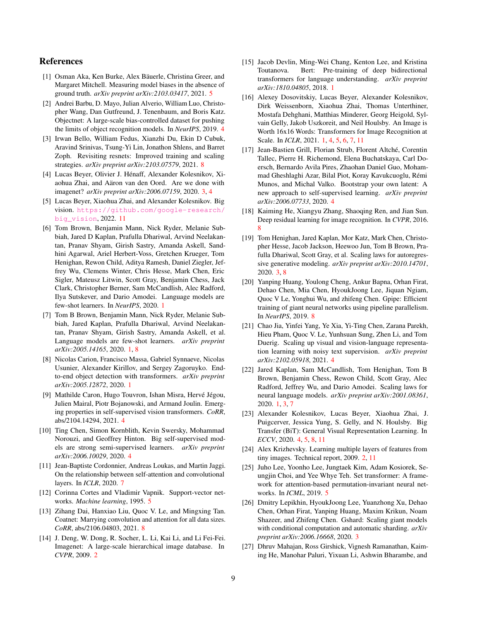## References

- <span id="page-8-19"></span>[1] Osman Aka, Ken Burke, Alex Bäuerle, Christina Greer, and Margaret Mitchell. Measuring model biases in the absence of ground truth. *arXiv preprint arXiv:2103.03417*, 2021. [5](#page-4-2)
- <span id="page-8-13"></span>[2] Andrei Barbu, D. Mayo, Julian Alverio, William Luo, Christopher Wang, Dan Gutfreund, J. Tenenbaum, and Boris Katz. Objectnet: A large-scale bias-controlled dataset for pushing the limits of object recognition models. In *NeurIPS*, 2019. [4](#page-3-2)
- <span id="page-8-22"></span>[3] Irwan Bello, William Fedus, Xianzhi Du, Ekin D Cubuk, Aravind Srinivas, Tsung-Yi Lin, Jonathon Shlens, and Barret Zoph. Revisiting resnets: Improved training and scaling strategies. *arXiv preprint arXiv:2103.07579*, 2021. [8](#page-7-1)
- <span id="page-8-9"></span>[4] Lucas Beyer, Olivier J. Hénaff, Alexander Kolesnikov, Xiaohua Zhai, and Aäron van den Oord. Are we done with imagenet? *arXiv preprint arXiv:2006.07159*, 2020. [3,](#page-2-2) [4](#page-3-2)
- <span id="page-8-26"></span>[5] Lucas Beyer, Xiaohua Zhai, and Alexander Kolesnikov. Big vision. [https://github.com/google-research/](https://github.com/google-research/big_vision) [big\\_vision](https://github.com/google-research/big_vision), 2022. [11](#page-10-0)
- <span id="page-8-5"></span>[6] Tom Brown, Benjamin Mann, Nick Ryder, Melanie Subbiah, Jared D Kaplan, Prafulla Dhariwal, Arvind Neelakantan, Pranav Shyam, Girish Sastry, Amanda Askell, Sandhini Agarwal, Ariel Herbert-Voss, Gretchen Krueger, Tom Henighan, Rewon Child, Aditya Ramesh, Daniel Ziegler, Jeffrey Wu, Clemens Winter, Chris Hesse, Mark Chen, Eric Sigler, Mateusz Litwin, Scott Gray, Benjamin Chess, Jack Clark, Christopher Berner, Sam McCandlish, Alec Radford, Ilya Sutskever, and Dario Amodei. Language models are few-shot learners. In *NeurIPS*, 2020. [1](#page-0-1)
- <span id="page-8-2"></span>[7] Tom B Brown, Benjamin Mann, Nick Ryder, Melanie Subbiah, Jared Kaplan, Prafulla Dhariwal, Arvind Neelakantan, Pranav Shyam, Girish Sastry, Amanda Askell, et al. Language models are few-shot learners. *arXiv preprint arXiv:2005.14165*, 2020. [1,](#page-0-1) [8](#page-7-1)
- <span id="page-8-0"></span>[8] Nicolas Carion, Francisco Massa, Gabriel Synnaeve, Nicolas Usunier, Alexander Kirillov, and Sergey Zagoruyko. Endto-end object detection with transformers. *arXiv preprint arXiv:2005.12872*, 2020. [1](#page-0-1)
- <span id="page-8-16"></span>[9] Mathilde Caron, Hugo Touvron, Ishan Misra, Hervé Jégou, Julien Mairal, Piotr Bojanowski, and Armand Joulin. Emerging properties in self-supervised vision transformers. *CoRR*, abs/2104.14294, 2021. [4](#page-3-2)
- <span id="page-8-14"></span>[10] Ting Chen, Simon Kornblith, Kevin Swersky, Mohammad Norouzi, and Geoffrey Hinton. Big self-supervised models are strong semi-supervised learners. *arXiv preprint arXiv:2006.10029*, 2020. [4](#page-3-2)
- <span id="page-8-21"></span>[11] Jean-Baptiste Cordonnier, Andreas Loukas, and Martin Jaggi. On the relationship between self-attention and convolutional layers. In *ICLR*, 2020. [7](#page-6-3)
- <span id="page-8-17"></span>[12] Corinna Cortes and Vladimir Vapnik. Support-vector networks. *Machine learning*, 1995. [5](#page-4-2)
- <span id="page-8-25"></span>[13] Zihang Dai, Hanxiao Liu, Quoc V. Le, and Mingxing Tan. Coatnet: Marrying convolution and attention for all data sizes. *CoRR*, abs/2106.04803, 2021. [8](#page-7-1)
- <span id="page-8-6"></span>[14] J. Deng, W. Dong, R. Socher, L. Li, Kai Li, and Li Fei-Fei. Imagenet: A large-scale hierarchical image database. In *CVPR*, 2009. [2](#page-1-1)
- <span id="page-8-3"></span>[15] Jacob Devlin, Ming-Wei Chang, Kenton Lee, and Kristina Toutanova. Bert: Pre-training of deep bidirectional transformers for language understanding. *arXiv preprint arXiv:1810.04805*, 2018. [1](#page-0-1)
- <span id="page-8-1"></span>[16] Alexey Dosovitskiy, Lucas Beyer, Alexander Kolesnikov, Dirk Weissenborn, Xiaohua Zhai, Thomas Unterthiner, Mostafa Dehghani, Matthias Minderer, Georg Heigold, Sylvain Gelly, Jakob Uszkoreit, and Neil Houlsby. An Image is Worth 16x16 Words: Transformers for Image Recognition at Scale. In *ICLR*, 2021. [1,](#page-0-1) [4,](#page-3-2) [5,](#page-4-2) [6,](#page-5-2) [7,](#page-6-3) [11](#page-10-0)
- <span id="page-8-15"></span>[17] Jean-Bastien Grill, Florian Strub, Florent Altché, Corentin Tallec, Pierre H. Richemond, Elena Buchatskaya, Carl Doersch, Bernardo Avila Pires, Zhaohan Daniel Guo, Mohammad Gheshlaghi Azar, Bilal Piot, Koray Kavukcuoglu, Rémi Munos, and Michal Valko. Bootstrap your own latent: A new approach to self-supervised learning. *arXiv preprint arXiv:2006.07733*, 2020. [4](#page-3-2)
- <span id="page-8-23"></span>[18] Kaiming He, Xiangyu Zhang, Shaoqing Ren, and Jian Sun. Deep residual learning for image recognition. In *CVPR*, 2016. [8](#page-7-1)
- <span id="page-8-8"></span>[19] Tom Henighan, Jared Kaplan, Mor Katz, Mark Chen, Christopher Hesse, Jacob Jackson, Heewoo Jun, Tom B Brown, Prafulla Dhariwal, Scott Gray, et al. Scaling laws for autoregressive generative modeling. *arXiv preprint arXiv:2010.14701*, 2020. [3,](#page-2-2) [8](#page-7-1)
- <span id="page-8-24"></span>[20] Yanping Huang, Youlong Cheng, Ankur Bapna, Orhan Firat, Dehao Chen, Mia Chen, HyoukJoong Lee, Jiquan Ngiam, Quoc V Le, Yonghui Wu, and zhifeng Chen. Gpipe: Efficient training of giant neural networks using pipeline parallelism. In *NeurIPS*, 2019. [8](#page-7-1)
- <span id="page-8-11"></span>[21] Chao Jia, Yinfei Yang, Ye Xia, Yi-Ting Chen, Zarana Parekh, Hieu Pham, Quoc V. Le, Yunhsuan Sung, Zhen Li, and Tom Duerig. Scaling up visual and vision-language representation learning with noisy text supervision. *arXiv preprint arXiv:2102.05918*, 2021. [4](#page-3-2)
- <span id="page-8-4"></span>[22] Jared Kaplan, Sam McCandlish, Tom Henighan, Tom B Brown, Benjamin Chess, Rewon Child, Scott Gray, Alec Radford, Jeffrey Wu, and Dario Amodei. Scaling laws for neural language models. *arXiv preprint arXiv:2001.08361*, 2020. [1,](#page-0-1) [3,](#page-2-2) [7](#page-6-3)
- <span id="page-8-12"></span>[23] Alexander Kolesnikov, Lucas Beyer, Xiaohua Zhai, J. Puigcerver, Jessica Yung, S. Gelly, and N. Houlsby. Big Transfer (BiT): General Visual Representation Learning. In *ECCV*, 2020. [4,](#page-3-2) [5,](#page-4-2) [8,](#page-7-1) [11](#page-10-0)
- <span id="page-8-7"></span>[24] Alex Krizhevsky. Learning multiple layers of features from tiny images. Technical report, 2009. [2,](#page-1-1) [11](#page-10-0)
- <span id="page-8-18"></span>[25] Juho Lee, Yoonho Lee, Jungtaek Kim, Adam Kosiorek, Seungjin Choi, and Yee Whye Teh. Set transformer: A framework for attention-based permutation-invariant neural networks. In *ICML*, 2019. [5](#page-4-2)
- <span id="page-8-10"></span>[26] Dmitry Lepikhin, HyoukJoong Lee, Yuanzhong Xu, Dehao Chen, Orhan Firat, Yanping Huang, Maxim Krikun, Noam Shazeer, and Zhifeng Chen. Gshard: Scaling giant models with conditional computation and automatic sharding. *arXiv preprint arXiv:2006.16668*, 2020. [3](#page-2-2)
- <span id="page-8-20"></span>[27] Dhruv Mahajan, Ross Girshick, Vignesh Ramanathan, Kaiming He, Manohar Paluri, Yixuan Li, Ashwin Bharambe, and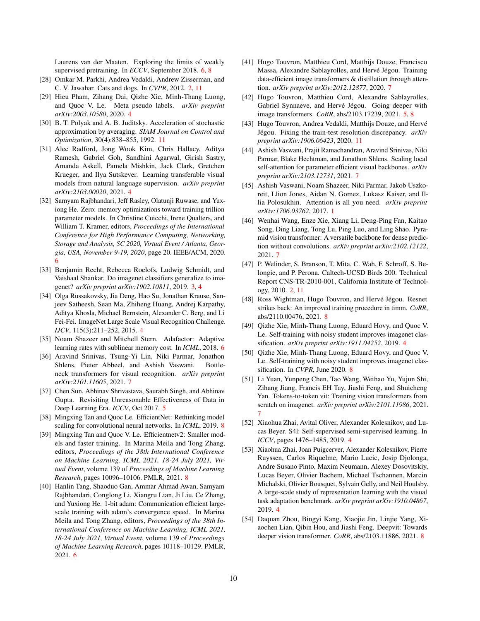Laurens van der Maaten. Exploring the limits of weakly supervised pretraining. In *ECCV*, September 2018. [6,](#page-5-2) [8](#page-7-1)

- <span id="page-9-1"></span>[28] Omkar M. Parkhi, Andrea Vedaldi, Andrew Zisserman, and C. V. Jawahar. Cats and dogs. In *CVPR*, 2012. [2,](#page-1-1) [11](#page-10-0)
- <span id="page-9-5"></span>[29] Hieu Pham, Zihang Dai, Qizhe Xie, Minh-Thang Luong, and Quoc V. Le. Meta pseudo labels. *arXiv preprint arXiv:2003.10580*, 2020. [4](#page-3-2)
- <span id="page-9-26"></span>[30] B. T. Polyak and A. B. Juditsky. Acceleration of stochastic approximation by averaging. *SIAM Journal on Control and Optimization*, 30(4):838–855, 1992. [11](#page-10-0)
- <span id="page-9-6"></span>[31] Alec Radford, Jong Wook Kim, Chris Hallacy, Aditya Ramesh, Gabriel Goh, Sandhini Agarwal, Girish Sastry, Amanda Askell, Pamela Mishkin, Jack Clark, Gretchen Krueger, and Ilya Sutskever. Learning transferable visual models from natural language supervision. *arXiv preprint arXiv:2103.00020*, 2021. [4](#page-3-2)
- <span id="page-9-13"></span>[32] Samyam Rajbhandari, Jeff Rasley, Olatunji Ruwase, and Yuxiong He. Zero: memory optimizations toward training trillion parameter models. In Christine Cuicchi, Irene Qualters, and William T. Kramer, editors, *Proceedings of the International Conference for High Performance Computing, Networking, Storage and Analysis, SC 2020, Virtual Event / Atlanta, Georgia, USA, November 9-19, 2020*, page 20. IEEE/ACM, 2020. [6](#page-5-2)
- <span id="page-9-3"></span>[33] Benjamin Recht, Rebecca Roelofs, Ludwig Schmidt, and Vaishaal Shankar. Do imagenet classifiers generalize to imagenet? *arXiv preprint arXiv:1902.10811*, 2019. [3,](#page-2-2) [4](#page-3-2)
- <span id="page-9-7"></span>[34] Olga Russakovsky, Jia Deng, Hao Su, Jonathan Krause, Sanjeev Satheesh, Sean Ma, Zhiheng Huang, Andrej Karpathy, Aditya Khosla, Michael Bernstein, Alexander C. Berg, and Li Fei-Fei. ImageNet Large Scale Visual Recognition Challenge. *IJCV*, 115(3):211–252, 2015. [4](#page-3-2)
- <span id="page-9-12"></span>[35] Noam Shazeer and Mitchell Stern. Adafactor: Adaptive learning rates with sublinear memory cost. In *ICML*, 2018. [6](#page-5-2)
- <span id="page-9-18"></span>[36] Aravind Srinivas, Tsung-Yi Lin, Niki Parmar, Jonathon Shlens, Pieter Abbeel, and Ashish Vaswani. Bottleneck transformers for visual recognition. *arXiv preprint arXiv:2101.11605*, 2021. [7](#page-6-3)
- <span id="page-9-11"></span>[37] Chen Sun, Abhinav Shrivastava, Saurabh Singh, and Abhinav Gupta. Revisiting Unreasonable Effectiveness of Data in Deep Learning Era. *ICCV*, Oct 2017. [5](#page-4-2)
- <span id="page-9-20"></span>[38] Mingxing Tan and Quoc Le. EfficientNet: Rethinking model scaling for convolutional neural networks. In *ICML*, 2019. [8](#page-7-1)
- <span id="page-9-21"></span>[39] Mingxing Tan and Quoc V. Le. Efficientnetv2: Smaller models and faster training. In Marina Meila and Tong Zhang, editors, *Proceedings of the 38th International Conference on Machine Learning, ICML 2021, 18-24 July 2021, Virtual Event*, volume 139 of *Proceedings of Machine Learning Research*, pages 10096–10106. PMLR, 2021. [8](#page-7-1)
- <span id="page-9-14"></span>[40] Hanlin Tang, Shaoduo Gan, Ammar Ahmad Awan, Samyam Rajbhandari, Conglong Li, Xiangru Lian, Ji Liu, Ce Zhang, and Yuxiong He. 1-bit adam: Communication efficient largescale training with adam's convergence speed. In Marina Meila and Tong Zhang, editors, *Proceedings of the 38th International Conference on Machine Learning, ICML 2021, 18-24 July 2021, Virtual Event*, volume 139 of *Proceedings of Machine Learning Research*, pages 10118–10129. PMLR, 2021. [6](#page-5-2)
- <span id="page-9-15"></span>[41] Hugo Touvron, Matthieu Cord, Matthijs Douze, Francisco Massa, Alexandre Sablayrolles, and Hervé Jégou. Training data-efficient image transformers & distillation through attention. *arXiv preprint arXiv:2012.12877*, 2020. [7](#page-6-3)
- <span id="page-9-10"></span>[42] Hugo Touvron, Matthieu Cord, Alexandre Sablayrolles, Gabriel Synnaeve, and Hervé Jégou. Going deeper with image transformers. *CoRR*, abs/2103.17239, 2021. [5,](#page-4-2) [8](#page-7-1)
- <span id="page-9-25"></span>[43] Hugo Touvron, Andrea Vedaldi, Matthijs Douze, and Hervé Jégou. Fixing the train-test resolution discrepancy. *arXiv preprint arXiv:1906.06423*, 2020. [11](#page-10-0)
- <span id="page-9-19"></span>[44] Ashish Vaswani, Prajit Ramachandran, Aravind Srinivas, Niki Parmar, Blake Hechtman, and Jonathon Shlens. Scaling local self-attention for parameter efficient visual backbones. *arXiv preprint arXiv:2103.12731*, 2021. [7](#page-6-3)
- <span id="page-9-0"></span>[45] Ashish Vaswani, Noam Shazeer, Niki Parmar, Jakob Uszkoreit, Llion Jones, Aidan N. Gomez, Lukasz Kaiser, and Illia Polosukhin. Attention is all you need. *arXiv preprint arXiv:1706.03762*, 2017. [1](#page-0-1)
- <span id="page-9-17"></span>[46] Wenhai Wang, Enze Xie, Xiang Li, Deng-Ping Fan, Kaitao Song, Ding Liang, Tong Lu, Ping Luo, and Ling Shao. Pyramid vision transformer: A versatile backbone for dense prediction without convolutions. *arXiv preprint arXiv:2102.12122*, 2021. [7](#page-6-3)
- <span id="page-9-2"></span>[47] P. Welinder, S. Branson, T. Mita, C. Wah, F. Schroff, S. Belongie, and P. Perona. Caltech-UCSD Birds 200. Technical Report CNS-TR-2010-001, California Institute of Technology, 2010. [2,](#page-1-1) [11](#page-10-0)
- <span id="page-9-22"></span>[48] Ross Wightman, Hugo Touvron, and Hervé Jégou. Resnet strikes back: An improved training procedure in timm. *CoRR*, abs/2110.00476, 2021. [8](#page-7-1)
- <span id="page-9-4"></span>[49] Qizhe Xie, Minh-Thang Luong, Eduard Hovy, and Quoc V. Le. Self-training with noisy student improves imagenet classification. *arXiv preprint arXiv:1911.04252*, 2019. [4](#page-3-2)
- <span id="page-9-23"></span>[50] Qizhe Xie, Minh-Thang Luong, Eduard Hovy, and Quoc V. Le. Self-training with noisy student improves imagenet classification. In *CVPR*, June 2020. [8](#page-7-1)
- <span id="page-9-16"></span>[51] Li Yuan, Yunpeng Chen, Tao Wang, Weihao Yu, Yujun Shi, Zihang Jiang, Francis EH Tay, Jiashi Feng, and Shuicheng Yan. Tokens-to-token vit: Training vision transformers from scratch on imagenet. *arXiv preprint arXiv:2101.11986*, 2021. [7](#page-6-3)
- <span id="page-9-9"></span>[52] Xiaohua Zhai, Avital Oliver, Alexander Kolesnikov, and Lucas Beyer. S4l: Self-supervised semi-supervised learning. In *ICCV*, pages 1476–1485, 2019. [4](#page-3-2)
- <span id="page-9-8"></span>[53] Xiaohua Zhai, Joan Puigcerver, Alexander Kolesnikov, Pierre Ruyssen, Carlos Riquelme, Mario Lucic, Josip Djolonga, Andre Susano Pinto, Maxim Neumann, Alexey Dosovitskiy, Lucas Beyer, Olivier Bachem, Michael Tschannen, Marcin Michalski, Olivier Bousquet, Sylvain Gelly, and Neil Houlsby. A large-scale study of representation learning with the visual task adaptation benchmark. *arXiv preprint arXiv:1910.04867*, 2019. [4](#page-3-2)
- <span id="page-9-24"></span>[54] Daquan Zhou, Bingyi Kang, Xiaojie Jin, Linjie Yang, Xiaochen Lian, Qibin Hou, and Jiashi Feng. Deepvit: Towards deeper vision transformer. *CoRR*, abs/2103.11886, 2021. [8](#page-7-1)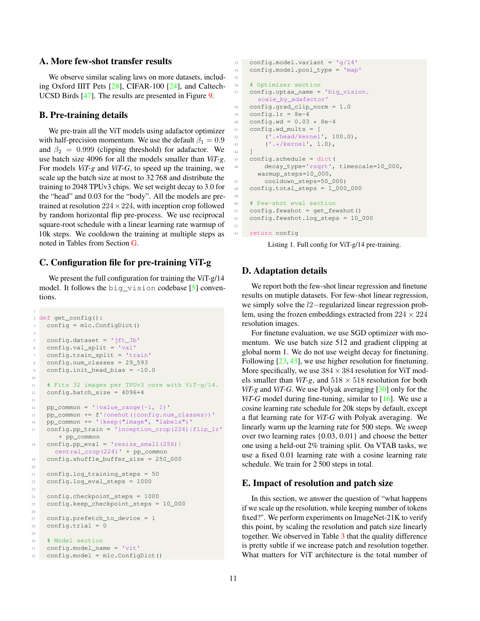## <span id="page-10-0"></span>A. More few-shot transfer results

We observe similar scaling laws on more datasets, including Oxford IIIT Pets [\[28\]](#page-9-1), CIFAR-100 [\[24\]](#page-8-7), and Caltech-UCSD Birds [\[47\]](#page-9-2). The results are presented in Figure [9.](#page-11-0)

### B. Pre-training details

1

We pre-train all the ViT models using adafactor optimizer with half-precision momentum. We use the default  $\beta_1 = 0.9$ and  $\beta_2 = 0.999$  (clipping threshold) for adafactor. We use batch size 4096 for all the models smaller than *ViT-g*. For models *ViT-g* and *ViT-G*, to speed up the training, we scale up the batch size at most to 32 768 and distribute the training to 2048 TPUv3 chips. We set weight decay to 3.0 for the "head" and 0.03 for the "body". All the models are pretrained at resolution  $224 \times 224$ , with inception crop followed by random horizontal flip pre-process. We use reciprocal square-root schedule with a linear learning rate warmup of 10k steps. We cooldown the training at multiple steps as noted in Tables from Section [G.](#page-11-1)

## C. Configuration file for pre-training ViT-g

We present the full configuration for training the ViT-g/14 model. It follows the big\_vision codebase [\[5\]](#page-8-26) conventions.

```
2 def get_config():
3 config = mlc.ConfigDict()
4
5 config.dataset = 'jft_3b'
6 config.val_split = 'val'
7 config.train_split = 'train'
8 config.num_classes = 29_593
    config.init_head_bias = -10.010
11 # Fits 32 images per TPUv3 core with ViT-g/14.
12 config.batch_size = 4096*4
13
14 pp_common = '|value_range(-1, 1)'
15 pp_common += f'|onehot({config.num_classes})'
16 pp_common += '|keep("image", "labels")'
17 config.pp_train = 'inception_crop(224)|flip_lr'
       + pp_common
18 config.pp_eval = 'resize_small(256)|
      central \text{crop}(224)' + pp \text{common}19 config.shuffle_buffer_size = 250_000
20
21 config.log_training_steps = 50
22 config.log_eval_steps = 1000
23
24 config.checkpoint_steps = 1000
25 config.keep_checkpoint_steps = 10_000
26
27 config.prefetch_to_device = 1
28 config.trial = 0
29
30 # Model section
31 config.model_name = 'vit'
32 config.model = mlc.ConfigDict()
```

```
33 config.model.variant = \frac{1}{9}/14'
34 config.model.pool_type = 'map'
36 # Optimizer section
37 config.optax_name = 'big_vision.
     scale_by_adafactor'
38 config.grad_clip_norm = 1.0
39 config.lr = 8e-440 config.wd = 0.03 * 8e-441 config.wd_mults = [
42 ('.*head/kernel', 100.0),
43 ('.*/kernel', 1.0),
44 ]
45 config.schedule = dict(
46 decay_type='rsqrt', timescale=10_000,
      warmup_steps=10_000,
47 cooldown_steps=50_000)
48 config.total_steps = 1_000_000
50 # Few-shot eval section
51 config.fewshot = get_fewshot()
52 config.fewshot.log_steps = 10_000
```
#### <sup>54</sup> return config

35

49

53

Listing 1. Full config for ViT-g/14 pre-training.

## D. Adaptation details

We report both the few-shot linear regression and finetune results on mutiple datasets. For few-shot linear regression, we simply solve the l2−regularized linear regression problem, using the frozen embeddings extracted from  $224 \times 224$ resolution images.

For finetune evaluation, we use SGD optimizer with momentum. We use batch size 512 and gradient clipping at global norm 1. We do not use weight decay for finetuning. Following  $[23, 43]$  $[23, 43]$  $[23, 43]$ , we use higher resolution for finetuning. More specifically, we use  $384 \times 384$  resolution for ViT models smaller than  $ViT-g$ , and  $518 \times 518$  resolution for both *ViT-g* and *ViT-G*. We use Polyak averaging [\[30\]](#page-9-26) only for the *ViT-G* model during fine-tuning, similar to [\[16\]](#page-8-1). We use a cosine learning rate schedule for 20k steps by default, except a flat learning rate for *ViT-G* with Polyak averaging. We linearly warm up the learning rate for 500 steps. We sweep over two learning rates {0.03, 0.01} and choose the better one using a held-out 2% training split. On VTAB tasks, we use a fixed 0.01 learning rate with a cosine learning rate schedule. We train for 2 500 steps in total.

## E. Impact of resolution and patch size

In this section, we answer the question of "what happens if we scale up the resolution, while keeping number of tokens fixed?". We perform experiments on ImageNet-21K to verify this point, by scaling the resolution and patch size linearly together. We observed in Table [3](#page-11-2) that the quality difference is pretty subtle if we increase patch and resolution together. What matters for ViT architecture is the total number of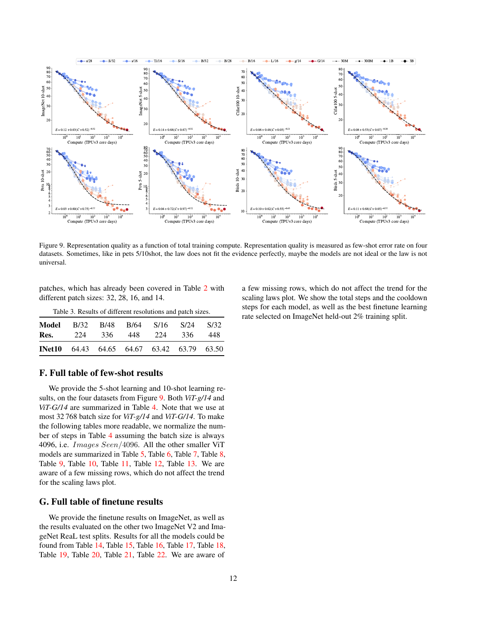<span id="page-11-0"></span>

Figure 9. Representation quality as a function of total training compute. Representation quality is measured as few-shot error rate on four datasets. Sometimes, like in pets 5/10shot, the law does not fit the evidence perfectly, maybe the models are not ideal or the law is not universal.

patches, which has already been covered in Table [2](#page-6-2) with different patch sizes: 32, 28, 16, and 14.

<span id="page-11-2"></span>

| Table 3. Results of different resolutions and patch sizes. |      |      |      |                                     |      |      |  |  |  |  |  |
|------------------------------------------------------------|------|------|------|-------------------------------------|------|------|--|--|--|--|--|
| Model                                                      | B/32 | B/48 | B/64 | S/16                                | S/24 | S/32 |  |  |  |  |  |
| Res.                                                       | 224  | 336  | 448  | 224                                 | 336  | 448. |  |  |  |  |  |
| <b>INet10</b>                                              |      |      |      | 64.43 64.65 64.67 63.42 63.79 63.50 |      |      |  |  |  |  |  |

F. Full table of few-shot results

We provide the 5-shot learning and 10-shot learning results, on the four datasets from Figure [9.](#page-11-0) Both *ViT-g/14* and *ViT-G/14* are summarized in Table [4.](#page-12-0) Note that we use at most 32 768 batch size for *ViT-g/14* and *ViT-G/14*. To make the following tables more readable, we normalize the number of steps in Table [4](#page-12-0) assuming the batch size is always 4096, i.e. Images Seen/4096. All the other smaller ViT models are summarized in Table [5,](#page-13-0) Table [6,](#page-14-0) Table [7,](#page-15-0) Table [8,](#page-16-0) Table [9,](#page-17-0) Table [10,](#page-18-0) Table [11,](#page-19-0) Table [12,](#page-20-0) Table [13.](#page-21-0) We are aware of a few missing rows, which do not affect the trend for the scaling laws plot.

## <span id="page-11-1"></span>G. Full table of finetune results

We provide the finetune results on ImageNet, as well as the results evaluated on the other two ImageNet V2 and ImageNet ReaL test splits. Results for all the models could be found from Table [14,](#page-22-0) Table [15,](#page-23-0) Table [16,](#page-24-0) Table [17,](#page-25-0) Table [18,](#page-26-0) Table [19,](#page-27-0) Table [20,](#page-28-0) Table [21,](#page-29-0) Table [22.](#page-30-0) We are aware of a few missing rows, which do not affect the trend for the scaling laws plot. We show the total steps and the cooldown steps for each model, as well as the best finetune learning rate selected on ImageNet held-out 2% training split.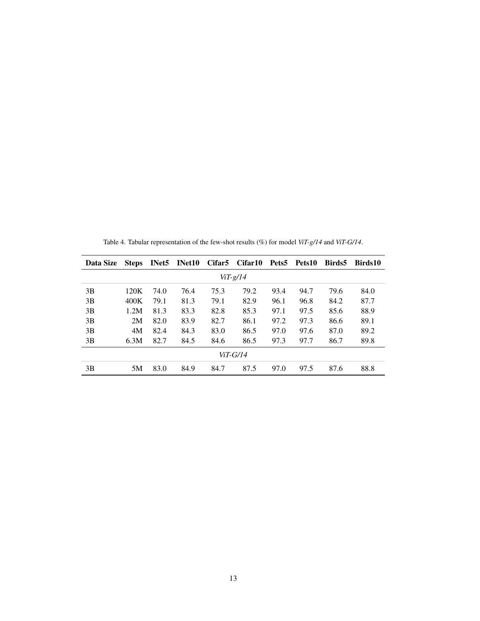<span id="page-12-0"></span>

| Data Size  | <b>Steps</b> | INet5 | <b>INet10</b> | <b>Cifar5</b> | Cifar10 |      | Pets5 Pets10 | Birds5 | Birds10 |  |  |
|------------|--------------|-------|---------------|---------------|---------|------|--------------|--------|---------|--|--|
| $ViT-g/14$ |              |       |               |               |         |      |              |        |         |  |  |
| 3B         | 120K         | 74.0  | 76.4          | 75.3          | 79.2    | 93.4 | 94.7         | 79.6   | 84.0    |  |  |
| 3B         | 400K         | 79.1  | 81.3          | 79.1          | 82.9    | 96.1 | 96.8         | 84.2   | 87.7    |  |  |
| 3B         | 1.2M         | 81.3  | 83.3          | 82.8          | 85.3    | 97.1 | 97.5         | 85.6   | 88.9    |  |  |
| 3B         | 2M           | 82.0  | 83.9          | 82.7          | 86.1    | 97.2 | 97.3         | 86.6   | 89.1    |  |  |
| 3B         | 4M           | 82.4  | 84.3          | 83.0          | 86.5    | 97.0 | 97.6         | 87.0   | 89.2    |  |  |
| 3B         | 6.3M         | 82.7  | 84.5          | 84.6          | 86.5    | 97.3 | 97.7         | 86.7   | 89.8    |  |  |
| ViT-G/14   |              |       |               |               |         |      |              |        |         |  |  |
| 3B         | 5M           | 83.0  | 84.9          | 84.7          | 87.5    | 97.0 | 97.5         | 87.6   | 88.8    |  |  |

Table 4. Tabular representation of the few-shot results (%) for model *ViT-g/14* and *ViT-G/14*.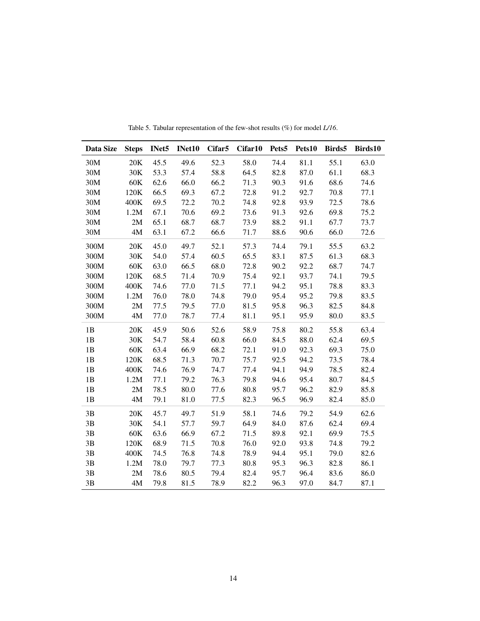<span id="page-13-0"></span>

| Data Size     | <b>Steps</b> | INet5 | INet10 | Cifar <sub>5</sub> | Cifar10 | Pets5 | Pets10 | Birds5 | Birds10 |
|---------------|--------------|-------|--------|--------------------|---------|-------|--------|--------|---------|
| 30M           | 20K          | 45.5  | 49.6   | 52.3               | 58.0    | 74.4  | 81.1   | 55.1   | 63.0    |
| 30M           | 30K          | 53.3  | 57.4   | 58.8               | 64.5    | 82.8  | 87.0   | 61.1   | 68.3    |
| 30M           | 60K          | 62.6  | 66.0   | 66.2               | 71.3    | 90.3  | 91.6   | 68.6   | 74.6    |
| 30M           | 120K         | 66.5  | 69.3   | 67.2               | 72.8    | 91.2  | 92.7   | 70.8   | 77.1    |
| 30M           | 400K         | 69.5  | 72.2   | 70.2               | 74.8    | 92.8  | 93.9   | 72.5   | 78.6    |
| 30M           | 1.2M         | 67.1  | 70.6   | 69.2               | 73.6    | 91.3  | 92.6   | 69.8   | 75.2    |
| 30M           | 2M           | 65.1  | 68.7   | 68.7               | 73.9    | 88.2  | 91.1   | 67.7   | 73.7    |
| 30M           | 4M           | 63.1  | 67.2   | 66.6               | 71.7    | 88.6  | 90.6   | 66.0   | 72.6    |
| 300M          | 20K          | 45.0  | 49.7   | 52.1               | 57.3    | 74.4  | 79.1   | 55.5   | 63.2    |
| 300M          | 30K          | 54.0  | 57.4   | 60.5               | 65.5    | 83.1  | 87.5   | 61.3   | 68.3    |
| 300M          | 60K          | 63.0  | 66.5   | 68.0               | 72.8    | 90.2  | 92.2   | 68.7   | 74.7    |
| 300M          | 120K         | 68.5  | 71.4   | 70.9               | 75.4    | 92.1  | 93.7   | 74.1   | 79.5    |
| 300M          | 400K         | 74.6  | 77.0   | 71.5               | 77.1    | 94.2  | 95.1   | 78.8   | 83.3    |
| 300M          | 1.2M         | 76.0  | 78.0   | 74.8               | 79.0    | 95.4  | 95.2   | 79.8   | 83.5    |
| 300M          | 2M           | 77.5  | 79.5   | 77.0               | 81.5    | 95.8  | 96.3   | 82.5   | 84.8    |
| 300M          | $4M$         | 77.0  | 78.7   | 77.4               | 81.1    | 95.1  | 95.9   | 80.0   | 83.5    |
| 1B            | 20K          | 45.9  | 50.6   | 52.6               | 58.9    | 75.8  | 80.2   | 55.8   | 63.4    |
| 1B            | 30K          | 54.7  | 58.4   | 60.8               | 66.0    | 84.5  | 88.0   | 62.4   | 69.5    |
| 1B            | 60K          | 63.4  | 66.9   | 68.2               | 72.1    | 91.0  | 92.3   | 69.3   | 75.0    |
| 1B            | 120K         | 68.5  | 71.3   | 70.7               | 75.7    | 92.5  | 94.2   | 73.5   | 78.4    |
| 1B            | 400K         | 74.6  | 76.9   | 74.7               | 77.4    | 94.1  | 94.9   | 78.5   | 82.4    |
| $1\mathrm{B}$ | 1.2M         | 77.1  | 79.2   | 76.3               | 79.8    | 94.6  | 95.4   | 80.7   | 84.5    |
| 1B            | 2M           | 78.5  | 80.0   | 77.6               | 80.8    | 95.7  | 96.2   | 82.9   | 85.8    |
| 1B            | 4M           | 79.1  | 81.0   | 77.5               | 82.3    | 96.5  | 96.9   | 82.4   | 85.0    |
| 3B            | 20K          | 45.7  | 49.7   | 51.9               | 58.1    | 74.6  | 79.2   | 54.9   | 62.6    |
| 3B            | 30K          | 54.1  | 57.7   | 59.7               | 64.9    | 84.0  | 87.6   | 62.4   | 69.4    |
| 3B            | 60K          | 63.6  | 66.9   | 67.2               | 71.5    | 89.8  | 92.1   | 69.9   | 75.5    |
| 3B            | 120K         | 68.9  | 71.5   | 70.8               | 76.0    | 92.0  | 93.8   | 74.8   | 79.2    |
| $3\mathrm{B}$ | 400K         | 74.5  | 76.8   | 74.8               | 78.9    | 94.4  | 95.1   | 79.0   | 82.6    |
| 3B            | 1.2M         | 78.0  | 79.7   | 77.3               | 80.8    | 95.3  | 96.3   | 82.8   | 86.1    |
| 3B            | 2M           | 78.6  | 80.5   | 79.4               | 82.4    | 95.7  | 96.4   | 83.6   | 86.0    |
| 3B            | 4M           | 79.8  | 81.5   | 78.9               | 82.2    | 96.3  | 97.0   | 84.7   | 87.1    |

Table 5. Tabular representation of the few-shot results (%) for model *L/16*.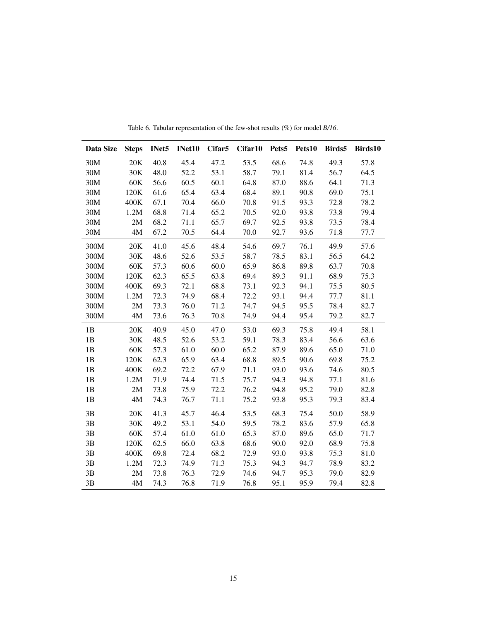<span id="page-14-0"></span>

| Data Size     | <b>Steps</b>  | INet5 | INet10 | Cifar <sub>5</sub> | Cifar10 | Pets5 | Pets10 | Birds5 | Birds10 |
|---------------|---------------|-------|--------|--------------------|---------|-------|--------|--------|---------|
| 30M           | 20K           | 40.8  | 45.4   | 47.2               | 53.5    | 68.6  | 74.8   | 49.3   | 57.8    |
| 30M           | 30K           | 48.0  | 52.2   | 53.1               | 58.7    | 79.1  | 81.4   | 56.7   | 64.5    |
| 30M           | 60K           | 56.6  | 60.5   | 60.1               | 64.8    | 87.0  | 88.6   | 64.1   | 71.3    |
| 30M           | 120K          | 61.6  | 65.4   | 63.4               | 68.4    | 89.1  | 90.8   | 69.0   | 75.1    |
| 30M           | 400K          | 67.1  | 70.4   | 66.0               | 70.8    | 91.5  | 93.3   | 72.8   | 78.2    |
| 30M           | 1.2M          | 68.8  | 71.4   | 65.2               | 70.5    | 92.0  | 93.8   | 73.8   | 79.4    |
| 30M           | 2M            | 68.2  | 71.1   | 65.7               | 69.7    | 92.5  | 93.8   | 73.5   | 78.4    |
| 30M           | 4M            | 67.2  | 70.5   | 64.4               | 70.0    | 92.7  | 93.6   | 71.8   | 77.7    |
| 300M          | 20K           | 41.0  | 45.6   | 48.4               | 54.6    | 69.7  | 76.1   | 49.9   | 57.6    |
| 300M          | 30K           | 48.6  | 52.6   | 53.5               | 58.7    | 78.5  | 83.1   | 56.5   | 64.2    |
| 300M          | 60K           | 57.3  | 60.6   | 60.0               | 65.9    | 86.8  | 89.8   | 63.7   | 70.8    |
| 300M          | 120K          | 62.3  | 65.5   | 63.8               | 69.4    | 89.3  | 91.1   | 68.9   | 75.3    |
| 300M          | 400K          | 69.3  | 72.1   | 68.8               | 73.1    | 92.3  | 94.1   | 75.5   | 80.5    |
| 300M          | 1.2M          | 72.3  | 74.9   | 68.4               | 72.2    | 93.1  | 94.4   | 77.7   | 81.1    |
| 300M          | 2M            | 73.3  | 76.0   | 71.2               | 74.7    | 94.5  | 95.5   | 78.4   | 82.7    |
| 300M          | $4\mathbf{M}$ | 73.6  | 76.3   | 70.8               | 74.9    | 94.4  | 95.4   | 79.2   | 82.7    |
| 1B            | 20K           | 40.9  | 45.0   | 47.0               | 53.0    | 69.3  | 75.8   | 49.4   | 58.1    |
| 1B            | 30K           | 48.5  | 52.6   | 53.2               | 59.1    | 78.3  | 83.4   | 56.6   | 63.6    |
| 1B            | 60K           | 57.3  | 61.0   | 60.0               | 65.2    | 87.9  | 89.6   | 65.0   | 71.0    |
| 1B            | 120K          | 62.3  | 65.9   | 63.4               | 68.8    | 89.5  | 90.6   | 69.8   | 75.2    |
| 1B            | 400K          | 69.2  | 72.2   | 67.9               | 71.1    | 93.0  | 93.6   | 74.6   | 80.5    |
| $1\mathrm{B}$ | 1.2M          | 71.9  | 74.4   | 71.5               | 75.7    | 94.3  | 94.8   | 77.1   | 81.6    |
| 1B            | 2M            | 73.8  | 75.9   | 72.2               | 76.2    | 94.8  | 95.2   | 79.0   | 82.8    |
| 1B            | 4M            | 74.3  | 76.7   | 71.1               | 75.2    | 93.8  | 95.3   | 79.3   | 83.4    |
| 3B            | 20K           | 41.3  | 45.7   | 46.4               | 53.5    | 68.3  | 75.4   | 50.0   | 58.9    |
| 3B            | 30K           | 49.2  | 53.1   | 54.0               | 59.5    | 78.2  | 83.6   | 57.9   | 65.8    |
| 3B            | 60K           | 57.4  | 61.0   | 61.0               | 65.3    | 87.0  | 89.6   | 65.0   | 71.7    |
| 3B            | 120K          | 62.5  | 66.0   | 63.8               | 68.6    | 90.0  | 92.0   | 68.9   | 75.8    |
| $3\mathrm{B}$ | 400K          | 69.8  | 72.4   | 68.2               | 72.9    | 93.0  | 93.8   | 75.3   | 81.0    |
| 3B            | 1.2M          | 72.3  | 74.9   | 71.3               | 75.3    | 94.3  | 94.7   | 78.9   | 83.2    |
| 3B            | 2M            | 73.8  | 76.3   | 72.9               | 74.6    | 94.7  | 95.3   | 79.0   | 82.9    |
| 3B            | 4M            | 74.3  | 76.8   | 71.9               | 76.8    | 95.1  | 95.9   | 79.4   | 82.8    |

Table 6. Tabular representation of the few-shot results (%) for model *B/16*.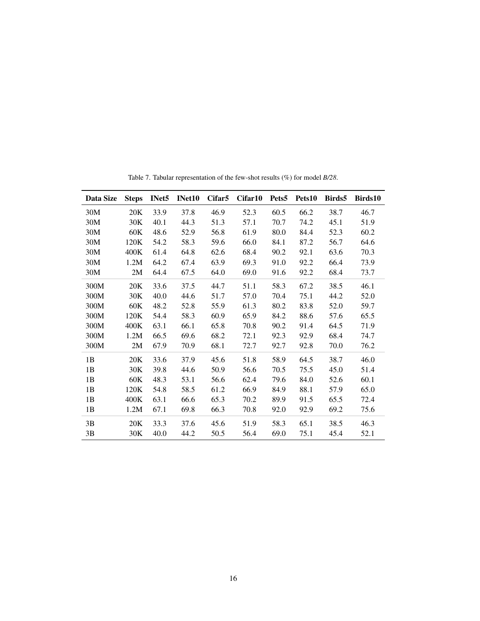<span id="page-15-0"></span>

| Data Size | <b>Steps</b> | INet <sub>5</sub> | INet10 | Cifar <sub>5</sub> | Cifar10 | Pets <sub>5</sub> | Pets10 | Birds5 | Birds10 |
|-----------|--------------|-------------------|--------|--------------------|---------|-------------------|--------|--------|---------|
| 30M       | 20K          | 33.9              | 37.8   | 46.9               | 52.3    | 60.5              | 66.2   | 38.7   | 46.7    |
| 30M       | 30K          | 40.1              | 44.3   | 51.3               | 57.1    | 70.7              | 74.2   | 45.1   | 51.9    |
| 30M       | 60K          | 48.6              | 52.9   | 56.8               | 61.9    | 80.0              | 84.4   | 52.3   | 60.2    |
| 30M       | 120K         | 54.2              | 58.3   | 59.6               | 66.0    | 84.1              | 87.2   | 56.7   | 64.6    |
| 30M       | 400K         | 61.4              | 64.8   | 62.6               | 68.4    | 90.2              | 92.1   | 63.6   | 70.3    |
| 30M       | 1.2M         | 64.2              | 67.4   | 63.9               | 69.3    | 91.0              | 92.2   | 66.4   | 73.9    |
| 30M       | 2M           | 64.4              | 67.5   | 64.0               | 69.0    | 91.6              | 92.2   | 68.4   | 73.7    |
| 300M      | 20K          | 33.6              | 37.5   | 44.7               | 51.1    | 58.3              | 67.2   | 38.5   | 46.1    |
| 300M      | 30K          | 40.0              | 44.6   | 51.7               | 57.0    | 70.4              | 75.1   | 44.2   | 52.0    |
| 300M      | 60K          | 48.2              | 52.8   | 55.9               | 61.3    | 80.2              | 83.8   | 52.0   | 59.7    |
| 300M      | 120K         | 54.4              | 58.3   | 60.9               | 65.9    | 84.2              | 88.6   | 57.6   | 65.5    |
| 300M      | 400K         | 63.1              | 66.1   | 65.8               | 70.8    | 90.2              | 91.4   | 64.5   | 71.9    |
| 300M      | 1.2M         | 66.5              | 69.6   | 68.2               | 72.1    | 92.3              | 92.9   | 68.4   | 74.7    |
| 300M      | 2M           | 67.9              | 70.9   | 68.1               | 72.7    | 92.7              | 92.8   | 70.0   | 76.2    |
| 1B        | 20K          | 33.6              | 37.9   | 45.6               | 51.8    | 58.9              | 64.5   | 38.7   | 46.0    |
| 1B        | 30K          | 39.8              | 44.6   | 50.9               | 56.6    | 70.5              | 75.5   | 45.0   | 51.4    |
| 1B        | 60K          | 48.3              | 53.1   | 56.6               | 62.4    | 79.6              | 84.0   | 52.6   | 60.1    |
| 1B        | 120K         | 54.8              | 58.5   | 61.2               | 66.9    | 84.9              | 88.1   | 57.9   | 65.0    |
| 1B        | 400K         | 63.1              | 66.6   | 65.3               | 70.2    | 89.9              | 91.5   | 65.5   | 72.4    |
| 1B        | 1.2M         | 67.1              | 69.8   | 66.3               | 70.8    | 92.0              | 92.9   | 69.2   | 75.6    |
| 3B        | 20K          | 33.3              | 37.6   | 45.6               | 51.9    | 58.3              | 65.1   | 38.5   | 46.3    |
| 3B        | 30K          | 40.0              | 44.2   | 50.5               | 56.4    | 69.0              | 75.1   | 45.4   | 52.1    |

Table 7. Tabular representation of the few-shot results (%) for model *B/28*.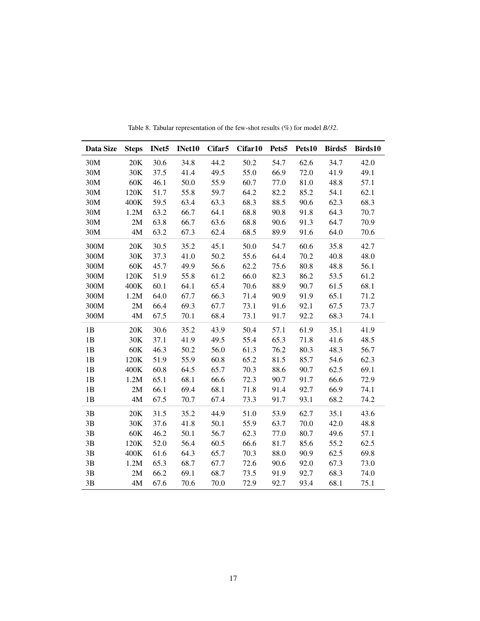<span id="page-16-0"></span>

| Data Size     | <b>Steps</b>  | INet5 | INet10 | Cifar <sub>5</sub> | Cifar10 | Pets5 | Pets10 | Birds5 | Birds10 |
|---------------|---------------|-------|--------|--------------------|---------|-------|--------|--------|---------|
| 30M           | 20K           | 30.6  | 34.8   | 44.2               | 50.2    | 54.7  | 62.6   | 34.7   | 42.0    |
| 30M           | 30K           | 37.5  | 41.4   | 49.5               | 55.0    | 66.9  | 72.0   | 41.9   | 49.1    |
| 30M           | 60K           | 46.1  | 50.0   | 55.9               | 60.7    | 77.0  | 81.0   | 48.8   | 57.1    |
| 30M           | 120K          | 51.7  | 55.8   | 59.7               | 64.2    | 82.2  | 85.2   | 54.1   | 62.1    |
| 30M           | 400K          | 59.5  | 63.4   | 63.3               | 68.3    | 88.5  | 90.6   | 62.3   | 68.3    |
| 30M           | 1.2M          | 63.2  | 66.7   | 64.1               | 68.8    | 90.8  | 91.8   | 64.3   | 70.7    |
| 30M           | 2M            | 63.8  | 66.7   | 63.6               | 68.8    | 90.6  | 91.3   | 64.7   | 70.9    |
| 30M           | 4M            | 63.2  | 67.3   | 62.4               | 68.5    | 89.9  | 91.6   | 64.0   | 70.6    |
| 300M          | 20K           | 30.5  | 35.2   | 45.1               | 50.0    | 54.7  | 60.6   | 35.8   | 42.7    |
| 300M          | 30K           | 37.3  | 41.0   | 50.2               | 55.6    | 64.4  | 70.2   | 40.8   | 48.0    |
| 300M          | 60K           | 45.7  | 49.9   | 56.6               | 62.2    | 75.6  | 80.8   | 48.8   | 56.1    |
| 300M          | 120K          | 51.9  | 55.8   | 61.2               | 66.0    | 82.3  | 86.2   | 53.5   | 61.2    |
| 300M          | 400K          | 60.1  | 64.1   | 65.4               | 70.6    | 88.9  | 90.7   | 61.5   | 68.1    |
| 300M          | 1.2M          | 64.0  | 67.7   | 66.3               | 71.4    | 90.9  | 91.9   | 65.1   | 71.2    |
| 300M          | 2M            | 66.4  | 69.3   | 67.7               | 73.1    | 91.6  | 92.1   | 67.5   | 73.7    |
| 300M          | $4\mathbf{M}$ | 67.5  | 70.1   | 68.4               | 73.1    | 91.7  | 92.2   | 68.3   | 74.1    |
| 1B            | 20K           | 30.6  | 35.2   | 43.9               | 50.4    | 57.1  | 61.9   | 35.1   | 41.9    |
| 1B            | 30K           | 37.1  | 41.9   | 49.5               | 55.4    | 65.3  | 71.8   | 41.6   | 48.5    |
| $1\mathrm{B}$ | 60K           | 46.3  | 50.2   | 56.0               | 61.3    | 76.2  | 80.3   | 48.3   | 56.7    |
| $1\mathrm{B}$ | 120K          | 51.9  | 55.9   | 60.8               | 65.2    | 81.5  | 85.7   | 54.6   | 62.3    |
| 1B            | 400K          | 60.8  | 64.5   | 65.7               | 70.3    | 88.6  | 90.7   | 62.5   | 69.1    |
| 1B            | 1.2M          | 65.1  | 68.1   | 66.6               | 72.3    | 90.7  | 91.7   | 66.6   | 72.9    |
| $1\mathrm{B}$ | 2M            | 66.1  | 69.4   | 68.1               | 71.8    | 91.4  | 92.7   | 66.9   | 74.1    |
| 1B            | 4M            | 67.5  | 70.7   | 67.4               | 73.3    | 91.7  | 93.1   | 68.2   | 74.2    |
| 3B            | 20K           | 31.5  | 35.2   | 44.9               | 51.0    | 53.9  | 62.7   | 35.1   | 43.6    |
| 3B            | 30K           | 37.6  | 41.8   | 50.1               | 55.9    | 63.7  | 70.0   | 42.0   | 48.8    |
| 3B            | 60K           | 46.2  | 50.1   | 56.7               | 62.3    | 77.0  | 80.7   | 49.6   | 57.1    |
| 3B            | 120K          | 52.0  | 56.4   | 60.5               | 66.6    | 81.7  | 85.6   | 55.2   | 62.5    |
| $3\mathrm{B}$ | 400K          | 61.6  | 64.3   | 65.7               | 70.3    | 88.0  | 90.9   | 62.5   | 69.8    |
| $3\mathrm{B}$ | 1.2M          | 65.3  | 68.7   | 67.7               | 72.6    | 90.6  | 92.0   | 67.3   | 73.0    |
| 3B            | 2M            | 66.2  | 69.1   | 68.7               | 73.5    | 91.9  | 92.7   | 68.3   | 74.0    |
| 3B            | $4M$          | 67.6  | 70.6   | 70.0               | 72.9    | 92.7  | 93.4   | 68.1   | 75.1    |

Table 8. Tabular representation of the few-shot results (%) for model *B/32*.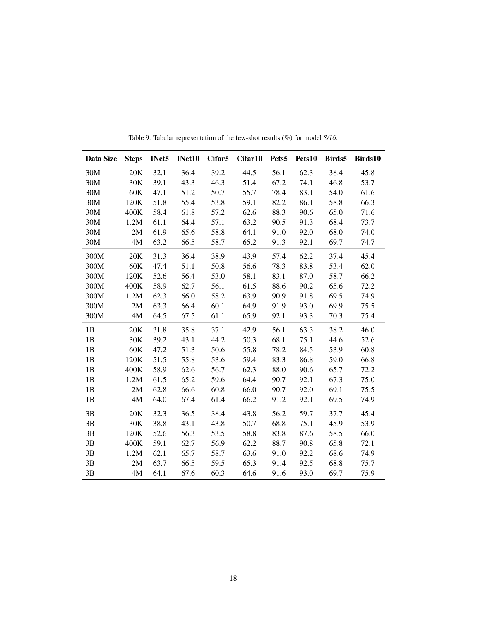<span id="page-17-0"></span>

| Data Size | <b>Steps</b>  | INet <sub>5</sub> | INet10 | Cifar <sub>5</sub> | Cifar10 | Pets <sub>5</sub> | Pets10 | Birds5 | Birds10 |
|-----------|---------------|-------------------|--------|--------------------|---------|-------------------|--------|--------|---------|
| 30M       | 20K           | 32.1              | 36.4   | 39.2               | 44.5    | 56.1              | 62.3   | 38.4   | 45.8    |
| 30M       | 30K           | 39.1              | 43.3   | 46.3               | 51.4    | 67.2              | 74.1   | 46.8   | 53.7    |
| 30M       | 60K           | 47.1              | 51.2   | 50.7               | 55.7    | 78.4              | 83.1   | 54.0   | 61.6    |
| 30M       | 120K          | 51.8              | 55.4   | 53.8               | 59.1    | 82.2              | 86.1   | 58.8   | 66.3    |
| 30M       | 400K          | 58.4              | 61.8   | 57.2               | 62.6    | 88.3              | 90.6   | 65.0   | 71.6    |
| 30M       | 1.2M          | 61.1              | 64.4   | 57.1               | 63.2    | 90.5              | 91.3   | 68.4   | 73.7    |
| 30M       | 2M            | 61.9              | 65.6   | 58.8               | 64.1    | 91.0              | 92.0   | 68.0   | 74.0    |
| 30M       | 4M            | 63.2              | 66.5   | 58.7               | 65.2    | 91.3              | 92.1   | 69.7   | 74.7    |
| 300M      | 20K           | 31.3              | 36.4   | 38.9               | 43.9    | 57.4              | 62.2   | 37.4   | 45.4    |
| 300M      | 60K           | 47.4              | 51.1   | 50.8               | 56.6    | 78.3              | 83.8   | 53.4   | 62.0    |
| 300M      | 120K          | 52.6              | 56.4   | 53.0               | 58.1    | 83.1              | 87.0   | 58.7   | 66.2    |
| 300M      | 400K          | 58.9              | 62.7   | 56.1               | 61.5    | 88.6              | 90.2   | 65.6   | 72.2    |
| 300M      | 1.2M          | 62.3              | 66.0   | 58.2               | 63.9    | 90.9              | 91.8   | 69.5   | 74.9    |
| 300M      | 2M            | 63.3              | 66.4   | 60.1               | 64.9    | 91.9              | 93.0   | 69.9   | 75.5    |
| 300M      | 4M            | 64.5              | 67.5   | 61.1               | 65.9    | 92.1              | 93.3   | 70.3   | 75.4    |
| 1B        | 20K           | 31.8              | 35.8   | 37.1               | 42.9    | 56.1              | 63.3   | 38.2   | 46.0    |
| 1B        | 30K           | 39.2              | 43.1   | 44.2               | 50.3    | 68.1              | 75.1   | 44.6   | 52.6    |
| 1B        | 60K           | 47.2              | 51.3   | 50.6               | 55.8    | 78.2              | 84.5   | 53.9   | 60.8    |
| 1B        | 120K          | 51.5              | 55.8   | 53.6               | 59.4    | 83.3              | 86.8   | 59.0   | 66.8    |
| 1B        | 400K          | 58.9              | 62.6   | 56.7               | 62.3    | 88.0              | 90.6   | 65.7   | 72.2    |
| 1B        | 1.2M          | 61.5              | 65.2   | 59.6               | 64.4    | 90.7              | 92.1   | 67.3   | 75.0    |
| 1B        | 2M            | 62.8              | 66.6   | 60.8               | 66.0    | 90.7              | 92.0   | 69.1   | 75.5    |
| 1B        | 4M            | 64.0              | 67.4   | 61.4               | 66.2    | 91.2              | 92.1   | 69.5   | 74.9    |
| 3B        | 20K           | 32.3              | 36.5   | 38.4               | 43.8    | 56.2              | 59.7   | 37.7   | 45.4    |
| 3B        | 30K           | 38.8              | 43.1   | 43.8               | 50.7    | 68.8              | 75.1   | 45.9   | 53.9    |
| 3B        | 120K          | 52.6              | 56.3   | 53.5               | 58.8    | 83.8              | 87.6   | 58.5   | 66.0    |
| 3B        | 400K          | 59.1              | 62.7   | 56.9               | 62.2    | 88.7              | 90.8   | 65.8   | 72.1    |
| 3B        | 1.2M          | 62.1              | 65.7   | 58.7               | 63.6    | 91.0              | 92.2   | 68.6   | 74.9    |
| 3B        | 2M            | 63.7              | 66.5   | 59.5               | 65.3    | 91.4              | 92.5   | 68.8   | 75.7    |
| 3B        | $4\mathrm{M}$ | 64.1              | 67.6   | 60.3               | 64.6    | 91.6              | 93.0   | 69.7   | 75.9    |

Table 9. Tabular representation of the few-shot results (%) for model *S/16*.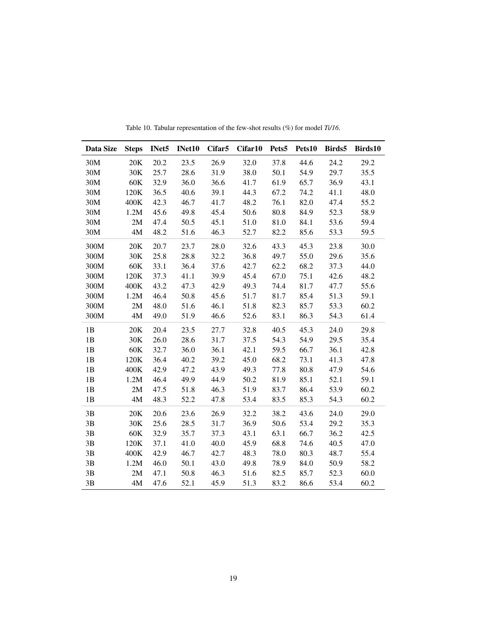<span id="page-18-0"></span>

| Data Size     | <b>Steps</b> | INet5 | INet10 | Cifar <sub>5</sub> | Cifar10 | Pets5 | Pets10 | Birds5 | Birds10 |
|---------------|--------------|-------|--------|--------------------|---------|-------|--------|--------|---------|
| 30M           | 20K          | 20.2  | 23.5   | 26.9               | 32.0    | 37.8  | 44.6   | 24.2   | 29.2    |
| 30M           | 30K          | 25.7  | 28.6   | 31.9               | 38.0    | 50.1  | 54.9   | 29.7   | 35.5    |
| 30M           | 60K          | 32.9  | 36.0   | 36.6               | 41.7    | 61.9  | 65.7   | 36.9   | 43.1    |
| 30M           | 120K         | 36.5  | 40.6   | 39.1               | 44.3    | 67.2  | 74.2   | 41.1   | 48.0    |
| 30M           | 400K         | 42.3  | 46.7   | 41.7               | 48.2    | 76.1  | 82.0   | 47.4   | 55.2    |
| 30M           | 1.2M         | 45.6  | 49.8   | 45.4               | 50.6    | 80.8  | 84.9   | 52.3   | 58.9    |
| 30M           | 2M           | 47.4  | 50.5   | 45.1               | 51.0    | 81.0  | 84.1   | 53.6   | 59.4    |
| 30M           | 4M           | 48.2  | 51.6   | 46.3               | 52.7    | 82.2  | 85.6   | 53.3   | 59.5    |
| 300M          | 20K          | 20.7  | 23.7   | 28.0               | 32.6    | 43.3  | 45.3   | 23.8   | 30.0    |
| 300M          | 30K          | 25.8  | 28.8   | 32.2               | 36.8    | 49.7  | 55.0   | 29.6   | 35.6    |
| 300M          | 60K          | 33.1  | 36.4   | 37.6               | 42.7    | 62.2  | 68.2   | 37.3   | 44.0    |
| 300M          | 120K         | 37.3  | 41.1   | 39.9               | 45.4    | 67.0  | 75.1   | 42.6   | 48.2    |
| 300M          | 400K         | 43.2  | 47.3   | 42.9               | 49.3    | 74.4  | 81.7   | 47.7   | 55.6    |
| 300M          | 1.2M         | 46.4  | 50.8   | 45.6               | 51.7    | 81.7  | 85.4   | 51.3   | 59.1    |
| 300M          | 2M           | 48.0  | 51.6   | 46.1               | 51.8    | 82.3  | 85.7   | 53.3   | 60.2    |
| 300M          | 4M           | 49.0  | 51.9   | 46.6               | 52.6    | 83.1  | 86.3   | 54.3   | 61.4    |
| 1B            | 20K          | 20.4  | 23.5   | 27.7               | 32.8    | 40.5  | 45.3   | 24.0   | 29.8    |
| 1B            | 30K          | 26.0  | 28.6   | 31.7               | 37.5    | 54.3  | 54.9   | 29.5   | 35.4    |
| 1B            | 60K          | 32.7  | 36.0   | 36.1               | 42.1    | 59.5  | 66.7   | 36.1   | 42.8    |
| 1B            | 120K         | 36.4  | 40.2   | 39.2               | 45.0    | 68.2  | 73.1   | 41.3   | 47.8    |
| 1B            | 400K         | 42.9  | 47.2   | 43.9               | 49.3    | 77.8  | 80.8   | 47.9   | 54.6    |
| $1\mathrm{B}$ | 1.2M         | 46.4  | 49.9   | 44.9               | 50.2    | 81.9  | 85.1   | 52.1   | 59.1    |
| 1B            | 2M           | 47.5  | 51.8   | 46.3               | 51.9    | 83.7  | 86.4   | 53.9   | 60.2    |
| 1B            | 4M           | 48.3  | 52.2   | 47.8               | 53.4    | 83.5  | 85.3   | 54.3   | 60.2    |
| 3B            | 20K          | 20.6  | 23.6   | 26.9               | 32.2    | 38.2  | 43.6   | 24.0   | 29.0    |
| 3B            | 30K          | 25.6  | 28.5   | 31.7               | 36.9    | 50.6  | 53.4   | 29.2   | 35.3    |
| 3B            | 60K          | 32.9  | 35.7   | 37.3               | 43.1    | 63.1  | 66.7   | 36.2   | 42.5    |
| 3B            | 120K         | 37.1  | 41.0   | 40.0               | 45.9    | 68.8  | 74.6   | 40.5   | 47.0    |
| $3\mathrm{B}$ | 400K         | 42.9  | 46.7   | 42.7               | 48.3    | 78.0  | 80.3   | 48.7   | 55.4    |
| $3\mathrm{B}$ | 1.2M         | 46.0  | 50.1   | 43.0               | 49.8    | 78.9  | 84.0   | 50.9   | 58.2    |
| 3B            | 2M           | 47.1  | 50.8   | 46.3               | 51.6    | 82.5  | 85.7   | 52.3   | 60.0    |
| 3B            | 4M           | 47.6  | 52.1   | 45.9               | 51.3    | 83.2  | 86.6   | 53.4   | 60.2    |

Table 10. Tabular representation of the few-shot results (%) for model *Ti/16*.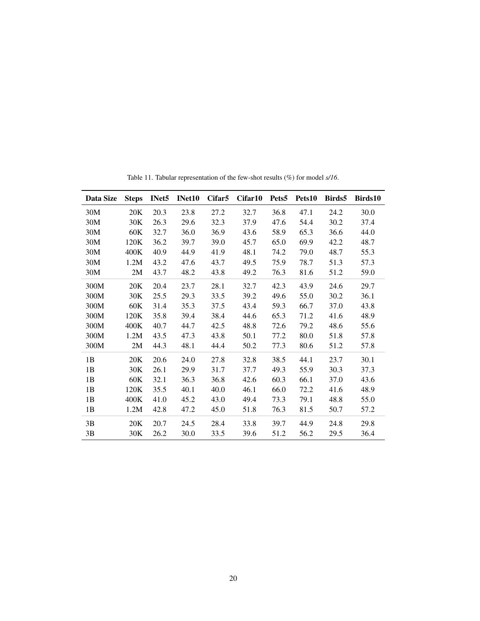<span id="page-19-0"></span>

| Data Size | <b>Steps</b> | INet <sub>5</sub> | INet10 | Cifar <sub>5</sub> | Cifar10 | Pets <sub>5</sub> | Pets10 | Birds5 | Birds10 |
|-----------|--------------|-------------------|--------|--------------------|---------|-------------------|--------|--------|---------|
| 30M       | 20K          | 20.3              | 23.8   | 27.2               | 32.7    | 36.8              | 47.1   | 24.2   | 30.0    |
| 30M       | 30K          | 26.3              | 29.6   | 32.3               | 37.9    | 47.6              | 54.4   | 30.2   | 37.4    |
| 30M       | 60K          | 32.7              | 36.0   | 36.9               | 43.6    | 58.9              | 65.3   | 36.6   | 44.0    |
| 30M       | 120K         | 36.2              | 39.7   | 39.0               | 45.7    | 65.0              | 69.9   | 42.2   | 48.7    |
| 30M       | 400K         | 40.9              | 44.9   | 41.9               | 48.1    | 74.2              | 79.0   | 48.7   | 55.3    |
| 30M       | 1.2M         | 43.2              | 47.6   | 43.7               | 49.5    | 75.9              | 78.7   | 51.3   | 57.3    |
| 30M       | 2M           | 43.7              | 48.2   | 43.8               | 49.2    | 76.3              | 81.6   | 51.2   | 59.0    |
| 300M      | 20K          | 20.4              | 23.7   | 28.1               | 32.7    | 42.3              | 43.9   | 24.6   | 29.7    |
| 300M      | 30K          | 25.5              | 29.3   | 33.5               | 39.2    | 49.6              | 55.0   | 30.2   | 36.1    |
| 300M      | 60K          | 31.4              | 35.3   | 37.5               | 43.4    | 59.3              | 66.7   | 37.0   | 43.8    |
| 300M      | 120K         | 35.8              | 39.4   | 38.4               | 44.6    | 65.3              | 71.2   | 41.6   | 48.9    |
| 300M      | 400K         | 40.7              | 44.7   | 42.5               | 48.8    | 72.6              | 79.2   | 48.6   | 55.6    |
| 300M      | 1.2M         | 43.5              | 47.3   | 43.8               | 50.1    | 77.2              | 80.0   | 51.8   | 57.8    |
| 300M      | 2M           | 44.3              | 48.1   | 44.4               | 50.2    | 77.3              | 80.6   | 51.2   | 57.8    |
| 1B        | 20K          | 20.6              | 24.0   | 27.8               | 32.8    | 38.5              | 44.1   | 23.7   | 30.1    |
| 1B        | 30K          | 26.1              | 29.9   | 31.7               | 37.7    | 49.3              | 55.9   | 30.3   | 37.3    |
| 1B        | 60K          | 32.1              | 36.3   | 36.8               | 42.6    | 60.3              | 66.1   | 37.0   | 43.6    |
| 1B        | 120K         | 35.5              | 40.1   | 40.0               | 46.1    | 66.0              | 72.2   | 41.6   | 48.9    |
| 1B        | 400K         | 41.0              | 45.2   | 43.0               | 49.4    | 73.3              | 79.1   | 48.8   | 55.0    |
| 1B        | 1.2M         | 42.8              | 47.2   | 45.0               | 51.8    | 76.3              | 81.5   | 50.7   | 57.2    |
| 3B        | 20K          | 20.7              | 24.5   | 28.4               | 33.8    | 39.7              | 44.9   | 24.8   | 29.8    |
| 3B        | 30K          | 26.2              | 30.0   | 33.5               | 39.6    | 51.2              | 56.2   | 29.5   | 36.4    |

Table 11. Tabular representation of the few-shot results (%) for model *s/16*.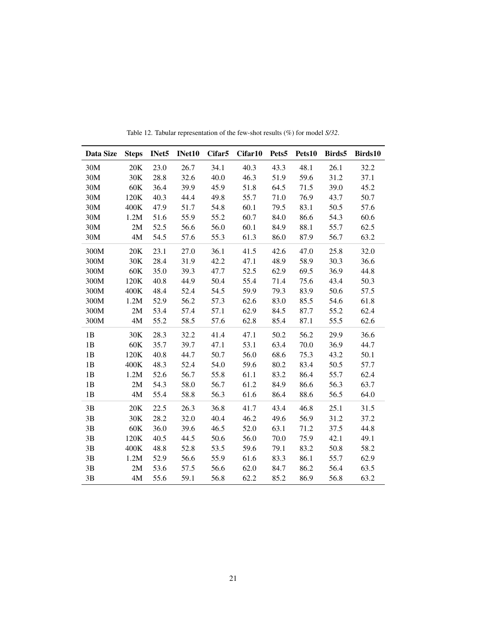<span id="page-20-0"></span>

| Data Size | <b>Steps</b> | INet5 | INet10 | Cifar5 | Cifar10 | Pets5 | Pets10 | Birds5 | Birds10 |
|-----------|--------------|-------|--------|--------|---------|-------|--------|--------|---------|
| 30M       | 20K          | 23.0  | 26.7   | 34.1   | 40.3    | 43.3  | 48.1   | 26.1   | 32.2    |
| 30M       | 30K          | 28.8  | 32.6   | 40.0   | 46.3    | 51.9  | 59.6   | 31.2   | 37.1    |
| 30M       | 60K          | 36.4  | 39.9   | 45.9   | 51.8    | 64.5  | 71.5   | 39.0   | 45.2    |
| 30M       | 120K         | 40.3  | 44.4   | 49.8   | 55.7    | 71.0  | 76.9   | 43.7   | 50.7    |
| 30M       | 400K         | 47.9  | 51.7   | 54.8   | 60.1    | 79.5  | 83.1   | 50.5   | 57.6    |
| 30M       | 1.2M         | 51.6  | 55.9   | 55.2   | 60.7    | 84.0  | 86.6   | 54.3   | 60.6    |
| 30M       | 2M           | 52.5  | 56.6   | 56.0   | 60.1    | 84.9  | 88.1   | 55.7   | 62.5    |
| 30M       | 4M           | 54.5  | 57.6   | 55.3   | 61.3    | 86.0  | 87.9   | 56.7   | 63.2    |
| 300M      | 20K          | 23.1  | 27.0   | 36.1   | 41.5    | 42.6  | 47.0   | 25.8   | 32.0    |
| 300M      | 30K          | 28.4  | 31.9   | 42.2   | 47.1    | 48.9  | 58.9   | 30.3   | 36.6    |
| 300M      | 60K          | 35.0  | 39.3   | 47.7   | 52.5    | 62.9  | 69.5   | 36.9   | 44.8    |
| 300M      | 120K         | 40.8  | 44.9   | 50.4   | 55.4    | 71.4  | 75.6   | 43.4   | 50.3    |
| 300M      | 400K         | 48.4  | 52.4   | 54.5   | 59.9    | 79.3  | 83.9   | 50.6   | 57.5    |
| 300M      | 1.2M         | 52.9  | 56.2   | 57.3   | 62.6    | 83.0  | 85.5   | 54.6   | 61.8    |
| 300M      | 2M           | 53.4  | 57.4   | 57.1   | 62.9    | 84.5  | 87.7   | 55.2   | 62.4    |
| 300M      | 4M           | 55.2  | 58.5   | 57.6   | 62.8    | 85.4  | 87.1   | 55.5   | 62.6    |
| 1B        | 30K          | 28.3  | 32.2   | 41.4   | 47.1    | 50.2  | 56.2   | 29.9   | 36.6    |
| 1B        | 60K          | 35.7  | 39.7   | 47.1   | 53.1    | 63.4  | 70.0   | 36.9   | 44.7    |
| 1B        | 120K         | 40.8  | 44.7   | 50.7   | 56.0    | 68.6  | 75.3   | 43.2   | 50.1    |
| 1B        | 400K         | 48.3  | 52.4   | 54.0   | 59.6    | 80.2  | 83.4   | 50.5   | 57.7    |
| 1B        | 1.2M         | 52.6  | 56.7   | 55.8   | 61.1    | 83.2  | 86.4   | 55.7   | 62.4    |
| 1B        | 2M           | 54.3  | 58.0   | 56.7   | 61.2    | 84.9  | 86.6   | 56.3   | 63.7    |
| 1B        | $4M$         | 55.4  | 58.8   | 56.3   | 61.6    | 86.4  | 88.6   | 56.5   | 64.0    |
| 3B        | 20K          | 22.5  | 26.3   | 36.8   | 41.7    | 43.4  | 46.8   | 25.1   | 31.5    |
| 3B        | 30K          | 28.2  | 32.0   | 40.4   | 46.2    | 49.6  | 56.9   | 31.2   | 37.2    |
| 3B        | 60K          | 36.0  | 39.6   | 46.5   | 52.0    | 63.1  | 71.2   | 37.5   | 44.8    |
| 3B        | 120K         | 40.5  | 44.5   | 50.6   | 56.0    | 70.0  | 75.9   | 42.1   | 49.1    |
| 3B        | 400K         | 48.8  | 52.8   | 53.5   | 59.6    | 79.1  | 83.2   | 50.8   | 58.2    |
| 3B        | 1.2M         | 52.9  | 56.6   | 55.9   | 61.6    | 83.3  | 86.1   | 55.7   | 62.9    |
| 3B        | 2M           | 53.6  | 57.5   | 56.6   | 62.0    | 84.7  | 86.2   | 56.4   | 63.5    |
| 3B        | 4M           | 55.6  | 59.1   | 56.8   | 62.2    | 85.2  | 86.9   | 56.8   | 63.2    |

Table 12. Tabular representation of the few-shot results (%) for model *S/32*.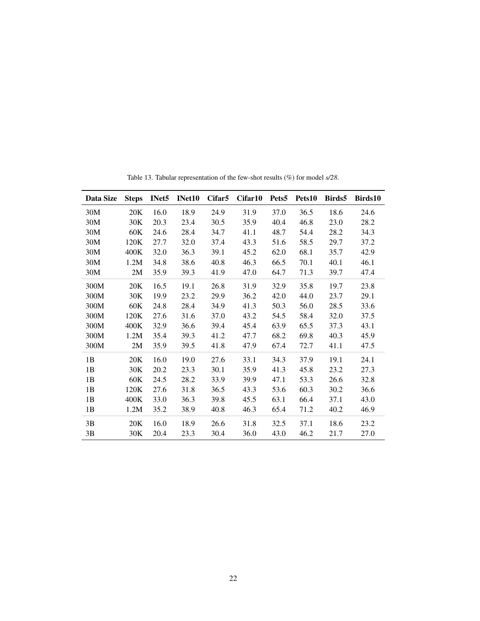<span id="page-21-0"></span>

| Data Size | <b>Steps</b> | INet <sub>5</sub> | <b>INet10</b> | Cifar <sub>5</sub> | Cifar10 | Pets <sub>5</sub> | Pets10 | Birds5 | Birds10 |
|-----------|--------------|-------------------|---------------|--------------------|---------|-------------------|--------|--------|---------|
| 30M       | 20K          | 16.0              | 18.9          | 24.9               | 31.9    | 37.0              | 36.5   | 18.6   | 24.6    |
| 30M       | 30K          | 20.3              | 23.4          | 30.5               | 35.9    | 40.4              | 46.8   | 23.0   | 28.2    |
| 30M       | 60K          | 24.6              | 28.4          | 34.7               | 41.1    | 48.7              | 54.4   | 28.2   | 34.3    |
| 30M       | 120K         | 27.7              | 32.0          | 37.4               | 43.3    | 51.6              | 58.5   | 29.7   | 37.2    |
| 30M       | 400K         | 32.0              | 36.3          | 39.1               | 45.2    | 62.0              | 68.1   | 35.7   | 42.9    |
| 30M       | 1.2M         | 34.8              | 38.6          | 40.8               | 46.3    | 66.5              | 70.1   | 40.1   | 46.1    |
| 30M       | 2M           | 35.9              | 39.3          | 41.9               | 47.0    | 64.7              | 71.3   | 39.7   | 47.4    |
| 300M      | 20K          | 16.5              | 19.1          | 26.8               | 31.9    | 32.9              | 35.8   | 19.7   | 23.8    |
| 300M      | 30K          | 19.9              | 23.2          | 29.9               | 36.2    | 42.0              | 44.0   | 23.7   | 29.1    |
| 300M      | 60K          | 24.8              | 28.4          | 34.9               | 41.3    | 50.3              | 56.0   | 28.5   | 33.6    |
| 300M      | 120K         | 27.6              | 31.6          | 37.0               | 43.2    | 54.5              | 58.4   | 32.0   | 37.5    |
| 300M      | 400K         | 32.9              | 36.6          | 39.4               | 45.4    | 63.9              | 65.5   | 37.3   | 43.1    |
| 300M      | 1.2M         | 35.4              | 39.3          | 41.2               | 47.7    | 68.2              | 69.8   | 40.3   | 45.9    |
| 300M      | 2M           | 35.9              | 39.5          | 41.8               | 47.9    | 67.4              | 72.7   | 41.1   | 47.5    |
| 1B        | 20K          | 16.0              | 19.0          | 27.6               | 33.1    | 34.3              | 37.9   | 19.1   | 24.1    |
| 1B        | 30K          | 20.2              | 23.3          | 30.1               | 35.9    | 41.3              | 45.8   | 23.2   | 27.3    |
| 1B        | 60K          | 24.5              | 28.2          | 33.9               | 39.9    | 47.1              | 53.3   | 26.6   | 32.8    |
| 1B        | 120K         | 27.6              | 31.8          | 36.5               | 43.3    | 53.6              | 60.3   | 30.2   | 36.6    |
| 1B        | 400K         | 33.0              | 36.3          | 39.8               | 45.5    | 63.1              | 66.4   | 37.1   | 43.0    |
| 1B        | 1.2M         | 35.2              | 38.9          | 40.8               | 46.3    | 65.4              | 71.2   | 40.2   | 46.9    |
| 3B        | 20K          | 16.0              | 18.9          | 26.6               | 31.8    | 32.5              | 37.1   | 18.6   | 23.2    |
| 3B        | 30K          | 20.4              | 23.3          | 30.4               | 36.0    | 43.0              | 46.2   | 21.7   | 27.0    |

Table 13. Tabular representation of the few-shot results (%) for model *s/28*.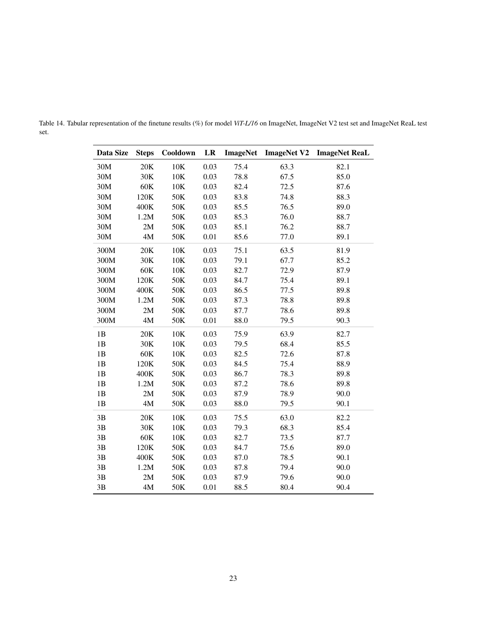| Data Size | <b>Steps</b>  | Cooldown | LR   | <b>ImageNet</b> | <b>ImageNet V2</b> | <b>ImageNet ReaL</b> |
|-----------|---------------|----------|------|-----------------|--------------------|----------------------|
| 30M       | 20K           | 10K      | 0.03 | 75.4            | 63.3               | 82.1                 |
| 30M       | 30K           | 10K      | 0.03 | 78.8            | 67.5               | 85.0                 |
| 30M       | 60K           | 10K      | 0.03 | 82.4            | 72.5               | 87.6                 |
| 30M       | 120K          | 50K      | 0.03 | 83.8            | 74.8               | 88.3                 |
| 30M       | 400K          | 50K      | 0.03 | 85.5            | 76.5               | 89.0                 |
| 30M       | 1.2M          | 50K      | 0.03 | 85.3            | 76.0               | 88.7                 |
| 30M       | 2M            | 50K      | 0.03 | 85.1            | 76.2               | 88.7                 |
| 30M       | 4M            | 50K      | 0.01 | 85.6            | 77.0               | 89.1                 |
| 300M      | 20K           | 10K      | 0.03 | 75.1            | 63.5               | 81.9                 |
| 300M      | 30K           | 10K      | 0.03 | 79.1            | 67.7               | 85.2                 |
| 300M      | 60K           | 10K      | 0.03 | 82.7            | 72.9               | 87.9                 |
| 300M      | 120K          | 50K      | 0.03 | 84.7            | 75.4               | 89.1                 |
| 300M      | 400K          | 50K      | 0.03 | 86.5            | 77.5               | 89.8                 |
| 300M      | 1.2M          | 50K      | 0.03 | 87.3            | 78.8               | 89.8                 |
| 300M      | 2M            | 50K      | 0.03 | 87.7            | 78.6               | 89.8                 |
| 300M      | $4\mathbf{M}$ | 50K      | 0.01 | 88.0            | 79.5               | 90.3                 |
| 1B        | 20K           | 10K      | 0.03 | 75.9            | 63.9               | 82.7                 |
| 1B        | 30K           | 10K      | 0.03 | 79.5            | 68.4               | 85.5                 |
| 1B        | 60K           | 10K      | 0.03 | 82.5            | 72.6               | 87.8                 |
| 1B        | 120K          | 50K      | 0.03 | 84.5            | 75.4               | 88.9                 |
| 1B        | 400K          | 50K      | 0.03 | 86.7            | 78.3               | 89.8                 |
| 1B        | 1.2M          | 50K      | 0.03 | 87.2            | 78.6               | 89.8                 |
| 1B        | 2M            | 50K      | 0.03 | 87.9            | 78.9               | 90.0                 |
| 1B        | 4M            | 50K      | 0.03 | 88.0            | 79.5               | 90.1                 |
| 3B        | 20K           | 10K      | 0.03 | 75.5            | 63.0               | 82.2                 |
| 3B        | 30K           | 10K      | 0.03 | 79.3            | 68.3               | 85.4                 |
| 3B        | 60K           | 10K      | 0.03 | 82.7            | 73.5               | 87.7                 |
| 3B        | 120K          | 50K      | 0.03 | 84.7            | 75.6               | 89.0                 |
| 3B        | 400K          | 50K      | 0.03 | 87.0            | 78.5               | 90.1                 |
| 3B        | 1.2M          | 50K      | 0.03 | 87.8            | 79.4               | 90.0                 |
| 3B        | 2M            | 50K      | 0.03 | 87.9            | 79.6               | 90.0                 |
| 3B        | 4M            | 50K      | 0.01 | 88.5            | 80.4               | 90.4                 |

<span id="page-22-0"></span>Table 14. Tabular representation of the finetune results (%) for model *ViT-L/16* on ImageNet, ImageNet V2 test set and ImageNet ReaL test set.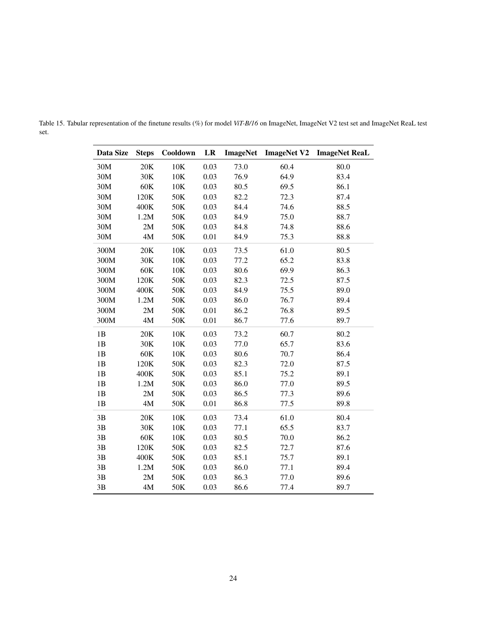| Data Size | <b>Steps</b>  | Cooldown | LR   | <b>ImageNet</b> | <b>ImageNet V2</b> | <b>ImageNet ReaL</b> |
|-----------|---------------|----------|------|-----------------|--------------------|----------------------|
| 30M       | 20K           | 10K      | 0.03 | 73.0            | 60.4               | 80.0                 |
| 30M       | 30K           | 10K      | 0.03 | 76.9            | 64.9               | 83.4                 |
| 30M       | 60K           | 10K      | 0.03 | 80.5            | 69.5               | 86.1                 |
| 30M       | 120K          | 50K      | 0.03 | 82.2            | 72.3               | 87.4                 |
| 30M       | 400K          | 50K      | 0.03 | 84.4            | 74.6               | 88.5                 |
| 30M       | 1.2M          | 50K      | 0.03 | 84.9            | 75.0               | 88.7                 |
| 30M       | 2M            | 50K      | 0.03 | 84.8            | 74.8               | 88.6                 |
| 30M       | 4M            | 50K      | 0.01 | 84.9            | 75.3               | 88.8                 |
| 300M      | 20K           | 10K      | 0.03 | 73.5            | 61.0               | 80.5                 |
| 300M      | 30K           | 10K      | 0.03 | 77.2            | 65.2               | 83.8                 |
| 300M      | 60K           | 10K      | 0.03 | 80.6            | 69.9               | 86.3                 |
| 300M      | 120K          | 50K      | 0.03 | 82.3            | 72.5               | 87.5                 |
| 300M      | 400K          | 50K      | 0.03 | 84.9            | 75.5               | 89.0                 |
| 300M      | 1.2M          | 50K      | 0.03 | 86.0            | 76.7               | 89.4                 |
| 300M      | 2M            | 50K      | 0.01 | 86.2            | 76.8               | 89.5                 |
| 300M      | $4\mathbf{M}$ | 50K      | 0.01 | 86.7            | 77.6               | 89.7                 |
| 1B        | 20K           | 10K      | 0.03 | 73.2            | 60.7               | 80.2                 |
| 1B        | 30K           | 10K      | 0.03 | 77.0            | 65.7               | 83.6                 |
| 1B        | 60K           | 10K      | 0.03 | 80.6            | 70.7               | 86.4                 |
| 1B        | 120K          | 50K      | 0.03 | 82.3            | 72.0               | 87.5                 |
| 1B        | 400K          | 50K      | 0.03 | 85.1            | 75.2               | 89.1                 |
| 1B        | 1.2M          | 50K      | 0.03 | 86.0            | 77.0               | 89.5                 |
| 1B        | 2M            | 50K      | 0.03 | 86.5            | 77.3               | 89.6                 |
| 1B        | 4M            | 50K      | 0.01 | 86.8            | 77.5               | 89.8                 |
| 3B        | 20K           | 10K      | 0.03 | 73.4            | 61.0               | 80.4                 |
| 3B        | 30K           | 10K      | 0.03 | 77.1            | 65.5               | 83.7                 |
| 3B        | 60K           | 10K      | 0.03 | 80.5            | 70.0               | 86.2                 |
| 3B        | 120K          | 50K      | 0.03 | 82.5            | 72.7               | 87.6                 |
| 3B        | 400K          | 50K      | 0.03 | 85.1            | 75.7               | 89.1                 |
| 3B        | 1.2M          | 50K      | 0.03 | 86.0            | 77.1               | 89.4                 |
| 3B        | 2M            | 50K      | 0.03 | 86.3            | 77.0               | 89.6                 |
| 3B        | 4M            | 50K      | 0.03 | 86.6            | 77.4               | 89.7                 |

<span id="page-23-0"></span>Table 15. Tabular representation of the finetune results (%) for model *ViT-B/16* on ImageNet, ImageNet V2 test set and ImageNet ReaL test set.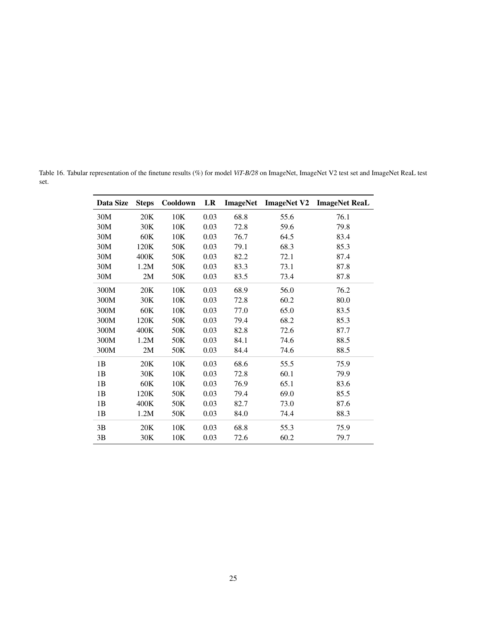<span id="page-24-0"></span>Table 16. Tabular representation of the finetune results (%) for model *ViT-B/28* on ImageNet, ImageNet V2 test set and ImageNet ReaL test set.

| Data Size | <b>Steps</b> | Cooldown | LR   | <b>ImageNet</b> | <b>ImageNet V2</b> | <b>ImageNet ReaL</b> |
|-----------|--------------|----------|------|-----------------|--------------------|----------------------|
| 30M       | 20K          | 10K      | 0.03 | 68.8            | 55.6               | 76.1                 |
| 30M       | 30K          | 10K      | 0.03 | 72.8            | 59.6               | 79.8                 |
| 30M       | 60K          | 10K      | 0.03 | 76.7            | 64.5               | 83.4                 |
| 30M       | 120K         | 50K      | 0.03 | 79.1            | 68.3               | 85.3                 |
| 30M       | 400K         | 50K      | 0.03 | 82.2            | 72.1               | 87.4                 |
| 30M       | 1.2M         | 50K      | 0.03 | 83.3            | 73.1               | 87.8                 |
| 30M       | 2M           | 50K      | 0.03 | 83.5            | 73.4               | 87.8                 |
| 300M      | 20K          | 10K      | 0.03 | 68.9            | 56.0               | 76.2                 |
| 300M      | 30K          | 10K      | 0.03 | 72.8            | 60.2               | 80.0                 |
| 300M      | 60K          | 10K      | 0.03 | 77.0            | 65.0               | 83.5                 |
| 300M      | 120K         | 50K      | 0.03 | 79.4            | 68.2               | 85.3                 |
| 300M      | 400K         | 50K      | 0.03 | 82.8            | 72.6               | 87.7                 |
| 300M      | 1.2M         | 50K      | 0.03 | 84.1            | 74.6               | 88.5                 |
| 300M      | 2M           | 50K      | 0.03 | 84.4            | 74.6               | 88.5                 |
| 1B        | 20K          | 10K      | 0.03 | 68.6            | 55.5               | 75.9                 |
| 1B        | 30K          | 10K      | 0.03 | 72.8            | 60.1               | 79.9                 |
| 1B        | 60K          | 10K      | 0.03 | 76.9            | 65.1               | 83.6                 |
| 1B        | 120K         | 50K      | 0.03 | 79.4            | 69.0               | 85.5                 |
| 1B        | 400K         | 50K      | 0.03 | 82.7            | 73.0               | 87.6                 |
| 1B        | 1.2M         | 50K      | 0.03 | 84.0            | 74.4               | 88.3                 |
| 3B        | 20K          | 10K      | 0.03 | 68.8            | 55.3               | 75.9                 |
| 3B        | 30K          | 10K      | 0.03 | 72.6            | 60.2               | 79.7                 |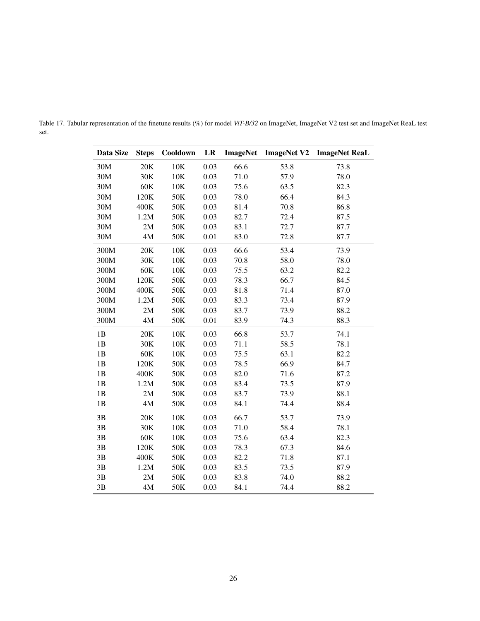| Data Size | <b>Steps</b> | Cooldown | LR   | <b>ImageNet</b> | <b>ImageNet V2</b> | <b>ImageNet ReaL</b> |
|-----------|--------------|----------|------|-----------------|--------------------|----------------------|
| 30M       | 20K          | 10K      | 0.03 | 66.6            | 53.8               | 73.8                 |
| 30M       | 30K          | 10K      | 0.03 | 71.0            | 57.9               | 78.0                 |
| 30M       | 60K          | 10K      | 0.03 | 75.6            | 63.5               | 82.3                 |
| 30M       | 120K         | 50K      | 0.03 | 78.0            | 66.4               | 84.3                 |
| 30M       | 400K         | 50K      | 0.03 | 81.4            | 70.8               | 86.8                 |
| 30M       | 1.2M         | 50K      | 0.03 | 82.7            | 72.4               | 87.5                 |
| 30M       | 2M           | 50K      | 0.03 | 83.1            | 72.7               | 87.7                 |
| 30M       | $4M$         | 50K      | 0.01 | 83.0            | 72.8               | 87.7                 |
| 300M      | 20K          | 10K      | 0.03 | 66.6            | 53.4               | 73.9                 |
| 300M      | 30K          | 10K      | 0.03 | 70.8            | 58.0               | 78.0                 |
| 300M      | $60K$        | 10K      | 0.03 | 75.5            | 63.2               | 82.2                 |
| 300M      | 120K         | 50K      | 0.03 | 78.3            | 66.7               | 84.5                 |
| 300M      | 400K         | 50K      | 0.03 | 81.8            | 71.4               | 87.0                 |
| 300M      | 1.2M         | 50K      | 0.03 | 83.3            | 73.4               | 87.9                 |
| 300M      | 2M           | 50K      | 0.03 | 83.7            | 73.9               | 88.2                 |
| 300M      | 4M           | 50K      | 0.01 | 83.9            | 74.3               | 88.3                 |
| 1B        | 20K          | 10K      | 0.03 | 66.8            | 53.7               | 74.1                 |
| 1B        | 30K          | 10K      | 0.03 | 71.1            | 58.5               | 78.1                 |
| 1B        | $60K$        | $10K$    | 0.03 | 75.5            | 63.1               | 82.2                 |
| 1B        | 120K         | 50K      | 0.03 | 78.5            | 66.9               | 84.7                 |
| 1B        | 400K         | 50K      | 0.03 | 82.0            | 71.6               | 87.2                 |
| 1B        | 1.2M         | 50K      | 0.03 | 83.4            | 73.5               | 87.9                 |
| 1B        | 2M           | 50K      | 0.03 | 83.7            | 73.9               | 88.1                 |
| 1B        | 4M           | 50K      | 0.03 | 84.1            | 74.4               | 88.4                 |
| 3B        | 20K          | 10K      | 0.03 | 66.7            | 53.7               | 73.9                 |
| 3B        | 30K          | 10K      | 0.03 | 71.0            | 58.4               | 78.1                 |
| 3B        | $60K$        | 10K      | 0.03 | 75.6            | 63.4               | 82.3                 |
| 3B        | 120K         | 50K      | 0.03 | 78.3            | 67.3               | 84.6                 |
| 3B        | 400K         | 50K      | 0.03 | 82.2            | 71.8               | 87.1                 |
| 3B        | 1.2M         | 50K      | 0.03 | 83.5            | 73.5               | 87.9                 |
| 3B        | 2M           | 50K      | 0.03 | 83.8            | 74.0               | 88.2                 |
| 3B        | $4M$         | 50K      | 0.03 | 84.1            | 74.4               | 88.2                 |

<span id="page-25-0"></span>Table 17. Tabular representation of the finetune results (%) for model *ViT-B/32* on ImageNet, ImageNet V2 test set and ImageNet ReaL test set.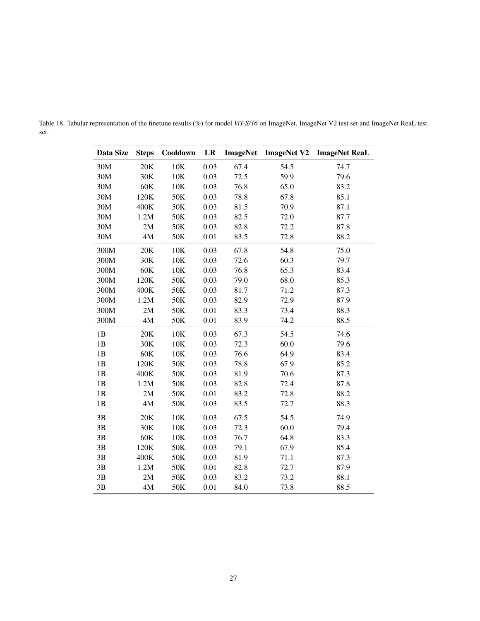| Data Size | <b>Steps</b> | Cooldown | LR   | <b>ImageNet</b> | <b>ImageNet V2</b> | <b>ImageNet ReaL</b> |
|-----------|--------------|----------|------|-----------------|--------------------|----------------------|
| 30M       | 20K          | 10K      | 0.03 | 67.4            | 54.5               | 74.7                 |
| 30M       | 30K          | 10K      | 0.03 | 72.5            | 59.9               | 79.6                 |
| 30M       | 60K          | 10K      | 0.03 | 76.8            | 65.0               | 83.2                 |
| 30M       | 120K         | 50K      | 0.03 | 78.8            | 67.8               | 85.1                 |
| 30M       | 400K         | 50K      | 0.03 | 81.5            | 70.9               | 87.1                 |
| 30M       | 1.2M         | 50K      | 0.03 | 82.5            | 72.0               | 87.7                 |
| 30M       | 2M           | 50K      | 0.03 | 82.8            | 72.2               | 87.8                 |
| 30M       | $4M$         | 50K      | 0.01 | 83.5            | 72.8               | 88.2                 |
| 300M      | 20K          | 10K      | 0.03 | 67.8            | 54.8               | 75.0                 |
| 300M      | 30K          | 10K      | 0.03 | 72.6            | 60.3               | 79.7                 |
| 300M      | $60K$        | 10K      | 0.03 | 76.8            | 65.3               | 83.4                 |
| 300M      | 120K         | 50K      | 0.03 | 79.0            | 68.0               | 85.3                 |
| 300M      | 400K         | 50K      | 0.03 | 81.7            | 71.2               | 87.3                 |
| 300M      | 1.2M         | 50K      | 0.03 | 82.9            | 72.9               | 87.9                 |
| 300M      | 2M           | 50K      | 0.01 | 83.3            | 73.4               | 88.3                 |
| 300M      | 4M           | 50K      | 0.01 | 83.9            | 74.2               | 88.5                 |
| 1B        | 20K          | 10K      | 0.03 | 67.3            | 54.5               | 74.6                 |
| 1B        | 30K          | 10K      | 0.03 | 72.3            | 60.0               | 79.6                 |
| 1B        | $60K$        | $10K$    | 0.03 | 76.6            | 64.9               | 83.4                 |
| 1B        | 120K         | 50K      | 0.03 | 78.8            | 67.9               | 85.2                 |
| 1B        | 400K         | 50K      | 0.03 | 81.9            | 70.6               | 87.3                 |
| 1B        | 1.2M         | 50K      | 0.03 | 82.8            | 72.4               | 87.8                 |
| 1B        | 2M           | 50K      | 0.01 | 83.2            | 72.8               | 88.2                 |
| 1B        | 4M           | 50K      | 0.03 | 83.5            | 72.7               | 88.3                 |
| 3B        | 20K          | 10K      | 0.03 | 67.5            | 54.5               | 74.9                 |
| 3B        | 30K          | 10K      | 0.03 | 72.3            | 60.0               | 79.4                 |
| 3B        | $60K$        | 10K      | 0.03 | 76.7            | 64.8               | 83.3                 |
| 3B        | 120K         | 50K      | 0.03 | 79.1            | 67.9               | 85.4                 |
| 3B        | 400K         | 50K      | 0.03 | 81.9            | 71.1               | 87.3                 |
| 3B        | 1.2M         | 50K      | 0.01 | 82.8            | 72.7               | 87.9                 |
| 3B        | 2M           | 50K      | 0.03 | 83.2            | 73.2               | 88.1                 |
| 3B        | $4M$         | 50K      | 0.01 | 84.0            | 73.8               | 88.5                 |

<span id="page-26-0"></span>Table 18. Tabular representation of the finetune results (%) for model *ViT-S/16* on ImageNet, ImageNet V2 test set and ImageNet ReaL test set.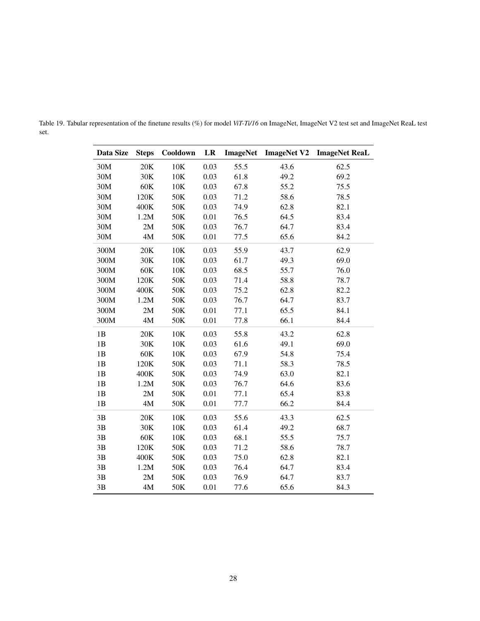| Data Size | <b>Steps</b> | Cooldown | LR   | <b>ImageNet</b> | <b>ImageNet V2</b> | <b>ImageNet ReaL</b> |
|-----------|--------------|----------|------|-----------------|--------------------|----------------------|
| 30M       | 20K          | 10K      | 0.03 | 55.5            | 43.6               | 62.5                 |
| 30M       | 30K          | 10K      | 0.03 | 61.8            | 49.2               | 69.2                 |
| 30M       | 60K          | 10K      | 0.03 | 67.8            | 55.2               | 75.5                 |
| 30M       | 120K         | 50K      | 0.03 | 71.2            | 58.6               | 78.5                 |
| 30M       | 400K         | 50K      | 0.03 | 74.9            | 62.8               | 82.1                 |
| 30M       | 1.2M         | 50K      | 0.01 | 76.5            | 64.5               | 83.4                 |
| 30M       | 2M           | 50K      | 0.03 | 76.7            | 64.7               | 83.4                 |
| 30M       | 4M           | 50K      | 0.01 | 77.5            | 65.6               | 84.2                 |
| 300M      | 20K          | 10K      | 0.03 | 55.9            | 43.7               | 62.9                 |
| 300M      | 30K          | 10K      | 0.03 | 61.7            | 49.3               | 69.0                 |
| 300M      | 60K          | 10K      | 0.03 | 68.5            | 55.7               | 76.0                 |
| 300M      | 120K         | 50K      | 0.03 | 71.4            | 58.8               | 78.7                 |
| 300M      | 400K         | 50K      | 0.03 | 75.2            | 62.8               | 82.2                 |
| 300M      | 1.2M         | 50K      | 0.03 | 76.7            | 64.7               | 83.7                 |
| 300M      | 2M           | 50K      | 0.01 | 77.1            | 65.5               | 84.1                 |
| 300M      | 4M           | 50K      | 0.01 | 77.8            | 66.1               | 84.4                 |
| 1B        | 20K          | 10K      | 0.03 | 55.8            | 43.2               | 62.8                 |
| 1B        | 30K          | 10K      | 0.03 | 61.6            | 49.1               | 69.0                 |
| 1B        | 60K          | 10K      | 0.03 | 67.9            | 54.8               | 75.4                 |
| 1B        | 120K         | 50K      | 0.03 | 71.1            | 58.3               | 78.5                 |
| 1B        | 400K         | 50K      | 0.03 | 74.9            | 63.0               | 82.1                 |
| 1B        | 1.2M         | 50K      | 0.03 | 76.7            | 64.6               | 83.6                 |
| 1B        | 2M           | 50K      | 0.01 | 77.1            | 65.4               | 83.8                 |
| 1B        | 4M           | 50K      | 0.01 | 77.7            | 66.2               | 84.4                 |
| 3B        | 20K          | 10K      | 0.03 | 55.6            | 43.3               | 62.5                 |
| 3B        | 30K          | $10K$    | 0.03 | 61.4            | 49.2               | 68.7                 |
| 3B        | 60K          | 10K      | 0.03 | 68.1            | 55.5               | 75.7                 |
| 3B        | 120K         | 50K      | 0.03 | 71.2            | 58.6               | 78.7                 |
| 3B        | 400K         | 50K      | 0.03 | 75.0            | 62.8               | 82.1                 |
| 3B        | 1.2M         | 50K      | 0.03 | 76.4            | 64.7               | 83.4                 |
| 3B        | 2M           | 50K      | 0.03 | 76.9            | 64.7               | 83.7                 |
| 3B        | 4M           | 50K      | 0.01 | 77.6            | 65.6               | 84.3                 |

<span id="page-27-0"></span>Table 19. Tabular representation of the finetune results (%) for model *ViT-Ti/16* on ImageNet, ImageNet V2 test set and ImageNet ReaL test set.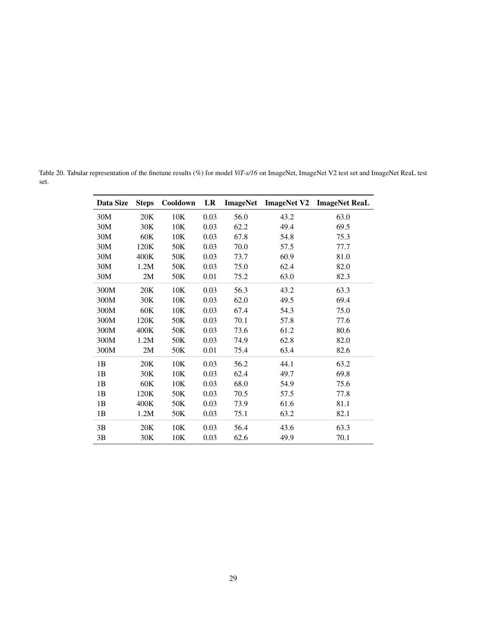<span id="page-28-0"></span>Table 20. Tabular representation of the finetune results (%) for model *ViT-s/16* on ImageNet, ImageNet V2 test set and ImageNet ReaL test set.

| Data Size | <b>Steps</b> | Cooldown | LR   | <b>ImageNet</b> | <b>ImageNet V2</b> | <b>ImageNet ReaL</b> |
|-----------|--------------|----------|------|-----------------|--------------------|----------------------|
| 30M       | 20K          | 10K      | 0.03 | 56.0            | 43.2               | 63.0                 |
| 30M       | 30K          | 10K      | 0.03 | 62.2            | 49.4               | 69.5                 |
| 30M       | 60K          | 10K      | 0.03 | 67.8            | 54.8               | 75.3                 |
| 30M       | 120K         | 50K      | 0.03 | 70.0            | 57.5               | 77.7                 |
| 30M       | 400K         | 50K      | 0.03 | 73.7            | 60.9               | 81.0                 |
| 30M       | 1.2M         | 50K      | 0.03 | 75.0            | 62.4               | 82.0                 |
| 30M       | 2M           | 50K      | 0.01 | 75.2            | 63.0               | 82.3                 |
| 300M      | 20K          | 10K      | 0.03 | 56.3            | 43.2               | 63.3                 |
| 300M      | 30K          | 10K      | 0.03 | 62.0            | 49.5               | 69.4                 |
| 300M      | 60K          | 10K      | 0.03 | 67.4            | 54.3               | 75.0                 |
| 300M      | 120K         | 50K      | 0.03 | 70.1            | 57.8               | 77.6                 |
| 300M      | 400K         | 50K      | 0.03 | 73.6            | 61.2               | 80.6                 |
| 300M      | 1.2M         | 50K      | 0.03 | 74.9            | 62.8               | 82.0                 |
| 300M      | 2M           | 50K      | 0.01 | 75.4            | 63.4               | 82.6                 |
| 1B        | 20K          | 10K      | 0.03 | 56.2            | 44.1               | 63.2                 |
| 1B        | 30K          | 10K      | 0.03 | 62.4            | 49.7               | 69.8                 |
| 1B        | 60K          | 10K      | 0.03 | 68.0            | 54.9               | 75.6                 |
| 1B        | 120K         | 50K      | 0.03 | 70.5            | 57.5               | 77.8                 |
| 1B        | 400K         | 50K      | 0.03 | 73.9            | 61.6               | 81.1                 |
| 1B        | 1.2M         | 50K      | 0.03 | 75.1            | 63.2               | 82.1                 |
| 3B        | 20K          | 10K      | 0.03 | 56.4            | 43.6               | 63.3                 |
| 3B        | 30K          | 10K      | 0.03 | 62.6            | 49.9               | 70.1                 |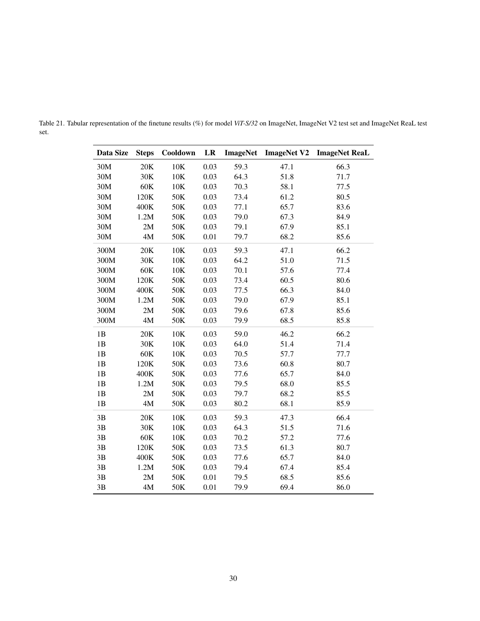| Data Size | <b>Steps</b>  | Cooldown | LR   | <b>ImageNet</b> | <b>ImageNet V2</b> | <b>ImageNet ReaL</b> |
|-----------|---------------|----------|------|-----------------|--------------------|----------------------|
| 30M       | 20K           | 10K      | 0.03 | 59.3            | 47.1               | 66.3                 |
| 30M       | 30K           | 10K      | 0.03 | 64.3            | 51.8               | 71.7                 |
| 30M       | 60K           | 10K      | 0.03 | 70.3            | 58.1               | 77.5                 |
| 30M       | 120K          | 50K      | 0.03 | 73.4            | 61.2               | 80.5                 |
| 30M       | 400K          | 50K      | 0.03 | 77.1            | 65.7               | 83.6                 |
| 30M       | 1.2M          | 50K      | 0.03 | 79.0            | 67.3               | 84.9                 |
| 30M       | 2M            | 50K      | 0.03 | 79.1            | 67.9               | 85.1                 |
| 30M       | 4M            | 50K      | 0.01 | 79.7            | 68.2               | 85.6                 |
| 300M      | 20K           | 10K      | 0.03 | 59.3            | 47.1               | 66.2                 |
| 300M      | 30K           | 10K      | 0.03 | 64.2            | 51.0               | 71.5                 |
| 300M      | 60K           | 10K      | 0.03 | 70.1            | 57.6               | 77.4                 |
| 300M      | 120K          | 50K      | 0.03 | 73.4            | 60.5               | 80.6                 |
| 300M      | 400K          | 50K      | 0.03 | 77.5            | 66.3               | 84.0                 |
| 300M      | 1.2M          | 50K      | 0.03 | 79.0            | 67.9               | 85.1                 |
| 300M      | 2M            | 50K      | 0.03 | 79.6            | 67.8               | 85.6                 |
| 300M      | $4\mathbf{M}$ | 50K      | 0.03 | 79.9            | 68.5               | 85.8                 |
| 1B        | 20K           | 10K      | 0.03 | 59.0            | 46.2               | 66.2                 |
| 1B        | 30K           | 10K      | 0.03 | 64.0            | 51.4               | 71.4                 |
| 1B        | 60K           | 10K      | 0.03 | 70.5            | 57.7               | 77.7                 |
| 1B        | 120K          | 50K      | 0.03 | 73.6            | 60.8               | 80.7                 |
| 1B        | 400K          | 50K      | 0.03 | 77.6            | 65.7               | 84.0                 |
| 1B        | 1.2M          | 50K      | 0.03 | 79.5            | 68.0               | 85.5                 |
| 1B        | 2M            | 50K      | 0.03 | 79.7            | 68.2               | 85.5                 |
| 1B        | $4\mathbf{M}$ | 50K      | 0.03 | 80.2            | 68.1               | 85.9                 |
| 3B        | 20K           | 10K      | 0.03 | 59.3            | 47.3               | 66.4                 |
| 3B        | 30K           | 10K      | 0.03 | 64.3            | 51.5               | 71.6                 |
| 3B        | $60K$         | 10K      | 0.03 | 70.2            | 57.2               | 77.6                 |
| 3B        | 120K          | 50K      | 0.03 | 73.5            | 61.3               | 80.7                 |
| 3B        | 400K          | 50K      | 0.03 | 77.6            | 65.7               | 84.0                 |
| 3B        | 1.2M          | 50K      | 0.03 | 79.4            | 67.4               | 85.4                 |
| 3B        | 2M            | 50K      | 0.01 | 79.5            | 68.5               | 85.6                 |
| 3B        | $4M$          | 50K      | 0.01 | 79.9            | 69.4               | 86.0                 |

<span id="page-29-0"></span>Table 21. Tabular representation of the finetune results (%) for model *ViT-S/32* on ImageNet, ImageNet V2 test set and ImageNet ReaL test set.